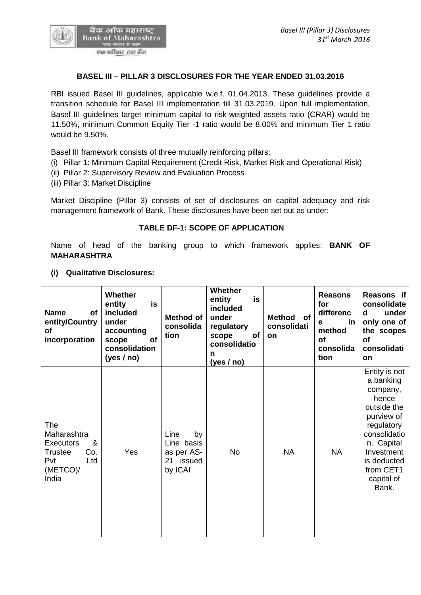

# **BASEL III – PILLAR 3 DISCLOSURES FOR THE YEAR ENDED 31.03.2016**

RBI issued Basel III guidelines, applicable w.e.f. 01.04.2013. These guidelines provide a transition schedule for Basel III implementation till 31.03.2019. Upon full implementation, Basel III guidelines target minimum capital to risk-weighted assets ratio (CRAR) would be 11.50%, minimum Common Equity Tier -1 ratio would be 8.00% and minimum Tier 1 ratio would be 9.50%.

Basel III framework consists of three mutually reinforcing pillars:

(i) Pillar 1: Minimum Capital Requirement (Credit Risk, Market Risk and Operational Risk)

- (ii) Pillar 2: Supervisory Review and Evaluation Process
- (iii) Pillar 3: Market Discipline

Market Discipline (Pillar 3) consists of set of disclosures on capital adequacy and risk management framework of Bank. These disclosures have been set out as under:

## **TABLE DF-1: SCOPE OF APPLICATION**

Name of head of the banking group to which framework applies: **BANK OF MAHARASHTRA**

### **(i) Qualitative Disclosures:**

| Entity is not<br>a banking<br>company,<br>hence<br>outside the<br>purview of<br>The<br>regulatory<br>Maharashtra<br>Line<br>consolidatio<br>by<br>&<br>Line basis<br>n. Capital<br><b>Executors</b><br><b>NA</b><br><b>NA</b><br>Co.<br>Yes<br>No<br>as per AS-<br>Investment<br><b>Trustee</b><br>21 issued<br>Pvt<br>Ltd<br>is deducted<br>(METCO)/<br>by ICAI<br>from CET1<br>India<br>capital of<br>Bank. | <b>Name</b><br>of<br>entity/Country<br>οf<br>incorporation | <b>Whether</b><br>is<br>entity<br>included<br>under<br>accounting<br>of<br>scope<br>consolidation<br>(yes $/$ no) | Method of<br>consolida<br>tion | Whether<br>is<br>entity<br>included<br>under<br>regulatory<br>of<br>scope<br>consolidatio<br>n<br>(yes / no) | Method of<br>consolidati<br>on | <b>Reasons</b><br>for<br>differenc<br>in.<br>e<br>method<br><b>of</b><br>consolida<br>tion | Reasons if<br>consolidate<br>under<br>d<br>only one of<br>the scopes<br><b>of</b><br>consolidati<br><b>on</b> |
|---------------------------------------------------------------------------------------------------------------------------------------------------------------------------------------------------------------------------------------------------------------------------------------------------------------------------------------------------------------------------------------------------------------|------------------------------------------------------------|-------------------------------------------------------------------------------------------------------------------|--------------------------------|--------------------------------------------------------------------------------------------------------------|--------------------------------|--------------------------------------------------------------------------------------------|---------------------------------------------------------------------------------------------------------------|
|                                                                                                                                                                                                                                                                                                                                                                                                               |                                                            |                                                                                                                   |                                |                                                                                                              |                                |                                                                                            |                                                                                                               |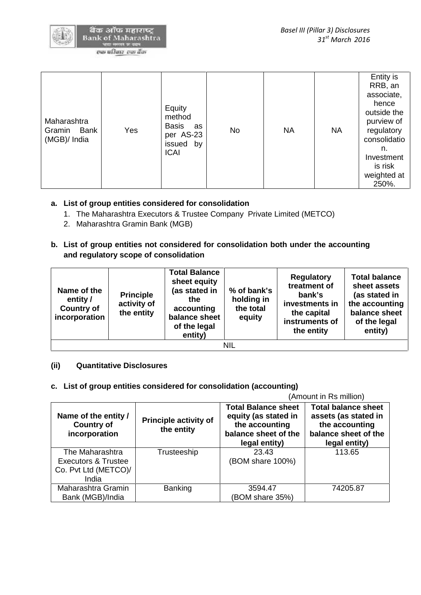

बैक ऑफ महाराष्ट **Bank of Maharashtra** 

एक परिवार-एक वैंक

| Maharashtra<br>Gramin<br>Bank<br>(MGB)/ India | Yes | Equity<br>method<br><b>Basis</b><br>as<br>per AS-23<br>issued<br>by<br><b>ICAI</b> | <b>No</b> | <b>NA</b> | <b>NA</b> | Entity is<br>RRB, an<br>associate,<br>hence<br>outside the<br>purview of<br>regulatory<br>consolidatio<br>n.<br>Investment<br>is risk<br>weighted at<br>250%. |
|-----------------------------------------------|-----|------------------------------------------------------------------------------------|-----------|-----------|-----------|---------------------------------------------------------------------------------------------------------------------------------------------------------------|
|-----------------------------------------------|-----|------------------------------------------------------------------------------------|-----------|-----------|-----------|---------------------------------------------------------------------------------------------------------------------------------------------------------------|

# **a. List of group entities considered for consolidation**

- 1. The Maharashtra Executors & Trustee Company Private Limited (METCO)
- 2. Maharashtra Gramin Bank (MGB)
- **b. List of group entities not considered for consolidation both under the accounting and regulatory scope of consolidation**

| Name of the<br>entity /<br><b>Country of</b><br>incorporation | <b>Principle</b><br>activity of<br>the entity | <b>Total Balance</b><br>sheet equity<br>(as stated in<br>the<br>accounting<br>balance sheet<br>of the legal<br>entity) | % of bank's<br>holding in<br>the total<br>equity | <b>Regulatory</b><br>treatment of<br>bank's<br>investments in<br>the capital<br>instruments of<br>the entity | <b>Total balance</b><br>sheet assets<br>(as stated in<br>the accounting<br>balance sheet<br>of the legal<br>entity) |  |
|---------------------------------------------------------------|-----------------------------------------------|------------------------------------------------------------------------------------------------------------------------|--------------------------------------------------|--------------------------------------------------------------------------------------------------------------|---------------------------------------------------------------------------------------------------------------------|--|
|                                                               |                                               |                                                                                                                        | <b>NIL</b>                                       |                                                                                                              |                                                                                                                     |  |

### **(ii) Quantitative Disclosures**

# **c. List of group entities considered for consolidation (accounting)**

(Amount in Rs million) **Name of the entity / Country of incorporation Principle activity of the entity Total Balance sheet equity (as stated in the accounting balance sheet of the legal entity) Total balance sheet assets (as stated in the accounting balance sheet of the legal entity)** The Maharashtra Executors & Trustee Co. Pvt Ltd (METCO)/ India Trusteeship | 23.43 (BOM share 100%) 113.65 Maharashtra Gramin Bank (MGB)/India Banking | 3594.47 (BOM share 35%) 74205.87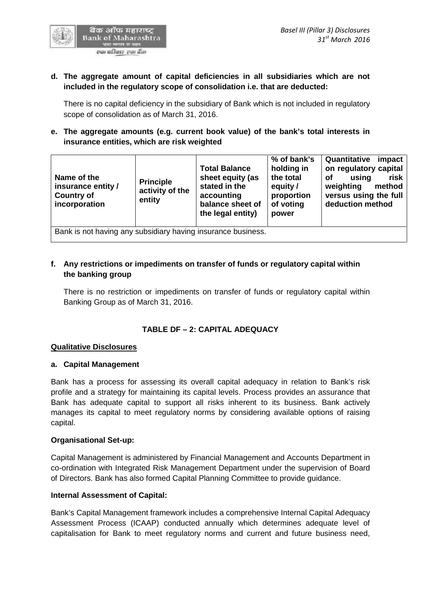

# **d. The aggregate amount of capital deficiencies in all subsidiaries which are not included in the regulatory scope of consolidation i.e. that are deducted:**

There is no capital deficiency in the subsidiary of Bank which is not included in regulatory scope of consolidation as of March 31, 2016.

# **e. The aggregate amounts (e.g. current book value) of the bank's total interests in insurance entities, which are risk weighted**

| Name of the<br>insurance entity /<br><b>Country of</b><br>incorporation | <b>Principle</b><br>activity of the<br>entity | <b>Total Balance</b><br>sheet equity (as<br>stated in the<br>accounting<br>balance sheet of<br>the legal entity) | % of bank's<br>holding in<br>the total<br>equity /<br>proportion<br>of voting<br>power | Quantitative<br>impact<br>on regulatory capital<br>using<br><b>of</b><br>risk<br>weighting<br>method<br>versus using the full<br>deduction method |
|-------------------------------------------------------------------------|-----------------------------------------------|------------------------------------------------------------------------------------------------------------------|----------------------------------------------------------------------------------------|---------------------------------------------------------------------------------------------------------------------------------------------------|
| Bank is not having any subsidiary having insurance business.            |                                               |                                                                                                                  |                                                                                        |                                                                                                                                                   |

# **f. Any restrictions or impediments on transfer of funds or regulatory capital within the banking group**

There is no restriction or impediments on transfer of funds or regulatory capital within Banking Group as of March 31, 2016.

# **TABLE DF – 2:CAPITAL ADEQUACY**

### **Qualitative Disclosures**

### **a. Capital Management**

Bank has a process for assessing its overall capital adequacy in relation to Bank's risk profile and a strategy for maintaining its capital levels. Process provides an assurance that Bank has adequate capital to support all risks inherent to its business. Bank actively manages its capital to meet regulatory norms by considering available options of raising capital.

### **Organisational Set-up:**

Capital Management is administered by Financial Management and Accounts Department in co-ordination with Integrated Risk Management Department under the supervision of Board of Directors. Bank has also formed Capital Planning Committee to provide guidance.

### **Internal Assessment of Capital:**

Bank's Capital Management framework includes a comprehensive Internal Capital Adequacy Assessment Process (ICAAP) conducted annually which determines adequate level of capitalisation for Bank to meet regulatory norms and current and future business need,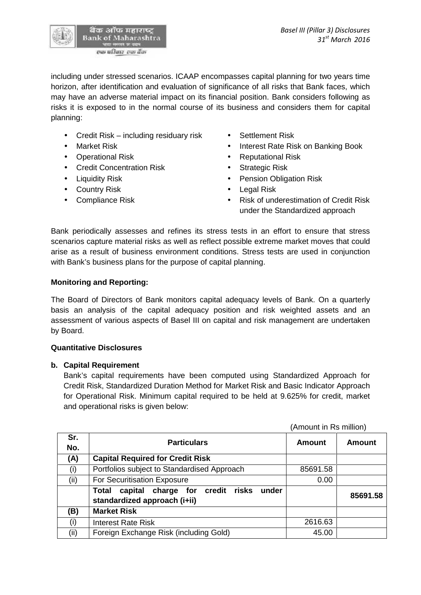including under stressed scenarios. ICAAP encompasses capital planning for two years time horizon, after identification and evaluation of significance of all risks that Bank faces, which may have an adverse material impact on its financial position. Bank considers following as risks it is exposed to in the normal course of its business and considers them for capital planning:

- Credit Risk including residuary risk Settlement Risk
- 
- Operational Risk **Constanting Constanting Constanting Constanting Constanting Constanting Constanting Constanting Constanting Constanting Constanting Constanting Constanting Constanting Constanting Constanting Constantin**
- Credit Concentration Risk Strategic Risk
- 
- Country Risk **Country Risk Country Risk Country Risk**
- 
- 
- Market Risk **Interest Rate Risk on Banking Book** 
	-
	-
- Liquidity Risk  **Pension Obligation Risk** 
	-
- Compliance Risk **Compliance Risk Compliance Risk Compliance Risk of underestimation of Credit Risk** under the Standardized approach

Bank periodically assesses and refines its stress tests in an effort to ensure that stress scenarios capture material risks as well as reflect possible extreme market moves that could arise as a result of business environment conditions. Stress tests are used in conjunction with Bank's business plans for the purpose of capital planning.

## **Monitoring and Reporting:**

The Board of Directors of Bank monitors capital adequacy levels of Bank. On a quarterly basis an analysis of the capital adequacy position and risk weighted assets and an assessment of various aspects of Basel III on capital and risk management are undertaken by Board.

### **Quantitative Disclosures**

### **b. Capital Requirement**

Bank's capital requirements have been computed using Standardized Approach for Credit Risk, Standardized Duration Method for Market Risk and Basic Indicator Approach for Operational Risk. Minimum capital required to be held at 9.625% for credit, market and operational risks is given below:

|            |                                                                                   | (Amount in Rs million) |               |  |
|------------|-----------------------------------------------------------------------------------|------------------------|---------------|--|
| Sr.<br>No. | <b>Particulars</b>                                                                | Amount                 | <b>Amount</b> |  |
| (A)        | <b>Capital Required for Credit Risk</b>                                           |                        |               |  |
| (i)        | Portfolios subject to Standardised Approach                                       | 85691.58               |               |  |
| (ii)       | For Securitisation Exposure                                                       | 0.00                   |               |  |
|            | capital charge for credit risks<br>under<br>Total<br>standardized approach (i+ii) |                        | 85691.58      |  |
| (B)        | <b>Market Risk</b>                                                                |                        |               |  |
| (i)        | <b>Interest Rate Risk</b>                                                         | 2616.63                |               |  |
| (ii)       | Foreign Exchange Risk (including Gold)                                            | 45.00                  |               |  |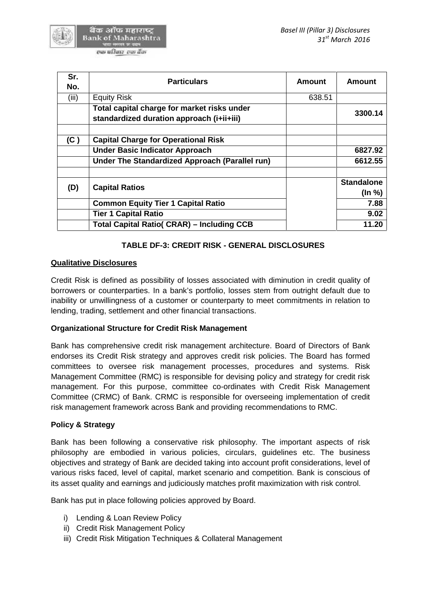| Sr.<br>No. | <b>Particulars</b>                                                                       | <b>Amount</b> | Amount                      |
|------------|------------------------------------------------------------------------------------------|---------------|-----------------------------|
| (iii)      | <b>Equity Risk</b>                                                                       | 638.51        |                             |
|            | Total capital charge for market risks under<br>standardized duration approach (i+ii+iii) |               | 3300.14                     |
| (C)        | <b>Capital Charge for Operational Risk</b>                                               |               |                             |
|            | <b>Under Basic Indicator Approach</b>                                                    |               | 6827.92                     |
|            | Under The Standardized Approach (Parallel run)                                           |               | 6612.55                     |
| (D)        | <b>Capital Ratios</b>                                                                    |               | <b>Standalone</b><br>(ln %) |
|            | <b>Common Equity Tier 1 Capital Ratio</b>                                                |               | 7.88                        |
|            | <b>Tier 1 Capital Ratio</b>                                                              |               | 9.02                        |
|            | <b>Total Capital Ratio( CRAR) – Including CCB</b>                                        |               | 11.20                       |

## **TABLE DF-3: CREDIT RISK - GENERAL DISCLOSURES**

## **Qualitative Disclosures**

Credit Risk is defined as possibility of losses associated with diminution in credit quality of borrowers or counterparties. In a bank's portfolio, losses stem from outright default due to inability or unwillingness of a customer or counterparty to meet commitments in relation to lending, trading, settlement and other financial transactions.

### **Organizational Structure for Credit Risk Management**

Bank has comprehensive credit risk management architecture. Board of Directors of Bank endorses its Credit Risk strategy and approves credit risk policies. The Board has formed committees to oversee risk management processes, procedures and systems. Risk Management Committee (RMC) is responsible for devising policy and strategy for credit risk management. For this purpose, committee co-ordinates with Credit Risk Management Committee (CRMC) of Bank. CRMC is responsible for overseeing implementation of credit risk management framework across Bank and providing recommendations to RMC.

### **Policy & Strategy**

Bank has been following a conservative risk philosophy. The important aspects of risk philosophy are embodied in various policies, circulars, guidelines etc. The business objectives and strategy of Bank are decided taking into account profit considerations, level of various risks faced, level of capital, market scenario and competition. Bank is conscious of its asset quality and earnings and judiciously matches profit maximization with risk control.

Bank has put in place following policies approved by Board.

- i) Lending & Loan Review Policy
- ii) Credit Risk Management Policy
- iii) Credit Risk Mitigation Techniques & Collateral Management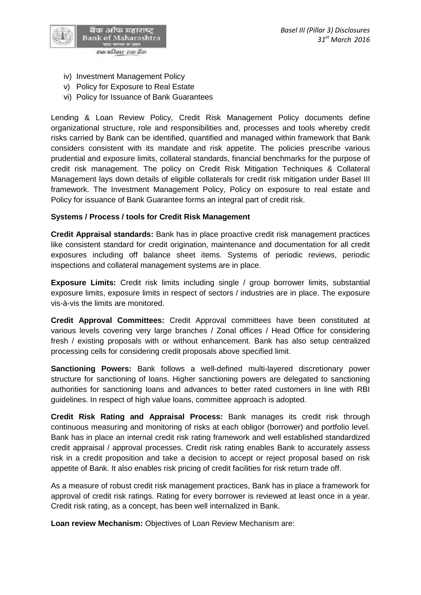

- iv) Investment Management Policy
- v) Policy for Exposure to Real Estate
- vi) Policy for Issuance of Bank Guarantees

Lending & Loan Review Policy, Credit Risk Management Policy documents define organizational structure, role and responsibilities and, processes and tools whereby credit risks carried by Bank can be identified, quantified and managed within framework that Bank considers consistent with its mandate and risk appetite. The policies prescribe various prudential and exposure limits, collateral standards, financial benchmarks for the purpose of credit risk management. The policy on Credit Risk Mitigation Techniques & Collateral Management lays down details of eligible collaterals for credit risk mitigation under Basel III framework. The Investment Management Policy, Policy on exposure to real estate and Policy for issuance of Bank Guarantee forms an integral part of credit risk.

## **Systems / Process / tools for Credit Risk Management**

**Credit Appraisal standards:** Bank has in place proactive credit risk management practices like consistent standard for credit origination, maintenance and documentation for all credit exposures including off balance sheet items. Systems of periodic reviews, periodic inspections and collateral management systems are in place.

**Exposure Limits:** Credit risk limits including single / group borrower limits, substantial exposure limits, exposure limits in respect of sectors / industries are in place. The exposure vis-à-vis the limits are monitored.

**Credit Approval Committees:** Credit Approval committees have been constituted at various levels covering very large branches / Zonal offices / Head Office for considering fresh / existing proposals with or without enhancement. Bank has also setup centralized processing cells for considering credit proposals above specified limit.

**Sanctioning Powers:** Bank follows a well-defined multi-layered discretionary power structure for sanctioning of loans. Higher sanctioning powers are delegated to sanctioning authorities for sanctioning loans and advances to better rated customers in line with RBI guidelines. In respect of high value loans, committee approach is adopted.

**Credit Risk Rating and Appraisal Process:** Bank manages its credit risk through continuous measuring and monitoring of risks at each obligor (borrower) and portfolio level. Bank has in place an internal credit risk rating framework and well established standardized credit appraisal / approval processes. Credit risk rating enables Bank to accurately assess risk in a credit proposition and take a decision to accept or reject proposal based on risk appetite of Bank. It also enables risk pricing of credit facilities for risk return trade off.

As a measure of robust credit risk management practices, Bank has in place a framework for approval of credit risk ratings. Rating for every borrower is reviewed at least once in a year. Credit risk rating, as a concept, has been well internalized in Bank.

**Loan review Mechanism:** Objectives of Loan Review Mechanism are: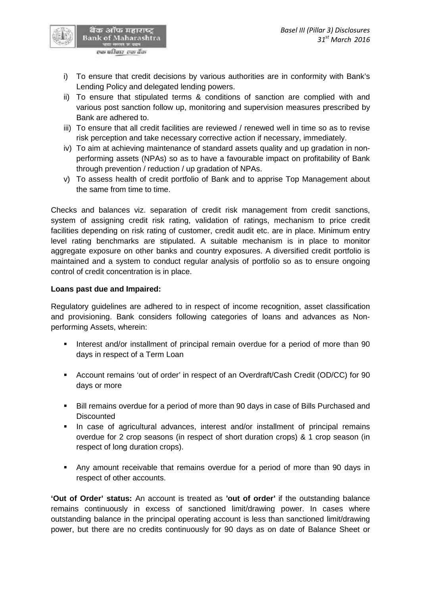

- i) To ensure that credit decisions by various authorities are in conformity with Bank's Lending Policy and delegated lending powers.
- ii) To ensure that stipulated terms & conditions of sanction are complied with and various post sanction follow up, monitoring and supervision measures prescribed by Bank are adhered to.
- iii) To ensure that all credit facilities are reviewed / renewed well in time so as to revise risk perception and take necessary corrective action if necessary, immediately.
- iv) To aim at achieving maintenance of standard assets quality and up gradation in non performing assets (NPAs) so as to have a favourable impact on profitability of Bank through prevention / reduction / up gradation of NPAs.
- v) To assess health of credit portfolio of Bank and to apprise Top Management about the same from time to time.

Checks and balances viz. separation of credit risk management from credit sanctions, system of assigning credit risk rating, validation of ratings, mechanism to price credit facilities depending on risk rating of customer, credit audit etc. are in place. Minimum entry level rating benchmarks are stipulated. A suitable mechanism is in place to monitor aggregate exposure on other banks and country exposures. A diversified credit portfolio is maintained and a system to conduct regular analysis of portfolio so as to ensure ongoing control of credit concentration is in place.

## **Loans past due and Impaired:**

Regulatory guidelines are adhered to in respect of income recognition, asset classification and provisioning. Bank considers following categories of loans and advances as Non performing Assets, wherein:

- Interest and/or installment of principal remain overdue for a period of more than 90 days in respect of a Term Loan
- Account remains 'out of order' in respect of an Overdraft/Cash Credit (OD/CC) for 90 days or more
- Bill remains overdue for a period of more than 90 days in case of Bills Purchased and **Discounted**
- In case of agricultural advances, interest and/or installment of principal remains overdue for 2 crop seasons (in respect of short duration crops) & 1 crop season (in respect of long duration crops).
- Any amount receivable that remains overdue for a period of more than 90 days in respect of other accounts.

**'Out of Order' status:** An account is treated as **'out of order'** if the outstanding balance remains continuously in excess of sanctioned limit/drawing power. In cases where outstanding balance in the principal operating account is less than sanctioned limit/drawing power, but there are no credits continuously for 90 days as on date of Balance Sheet or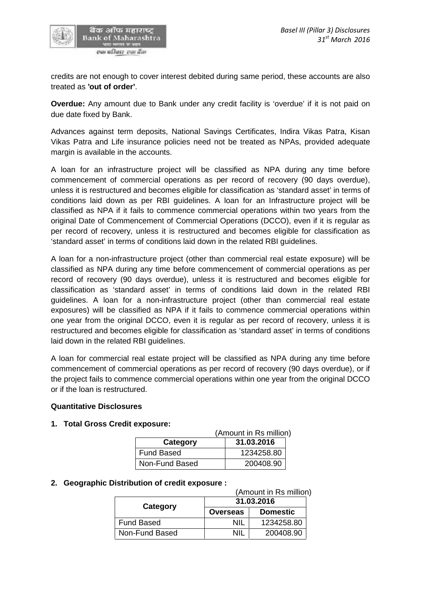

credits are not enough to cover interest debited during same period, these accounts are also treated as **'out of order'**.

**Overdue:** Any amount due to Bank under any credit facility is 'overdue' if it is not paid on due date fixed by Bank.

Advances against term deposits, National Savings Certificates, Indira Vikas Patra, Kisan Vikas Patra and Life insurance policies need not be treated as NPAs, provided adequate margin is available in the accounts.

A loan for an infrastructure project will be classified as NPA during any time before commencement of commercial operations as per record of recovery (90 days overdue), unless it is restructured and becomes eligible for classification as 'standard asset' in terms of conditions laid down as per RBI guidelines. A loan for an Infrastructure project will be classified as NPA if it fails to commence commercial operations within two years from the original Date of Commencement of Commercial Operations (DCCO), even if it is regular as per record of recovery, unless it is restructured and becomes eligible for classification as 'standard asset' in terms of conditions laid down in the related RBI guidelines.

A loan for a non-infrastructure project (other than commercial real estate exposure) will be classified as NPA during any time before commencement of commercial operations as per record of recovery (90 days overdue), unless it is restructured and becomes eligible for classification as 'standard asset' in terms of conditions laid down in the related RBI guidelines. A loan for a non-infrastructure project (other than commercial real estate exposures) will be classified as NPA if it fails to commence commercial operations within one year from the original DCCO, even it is regular as per record of recovery, unless it is restructured and becomes eligible for classification as 'standard asset' in terms of conditions laid down in the related RBI guidelines.

A loan for commercial real estate project will be classified as NPA during any time before commencement of commercial operations as per record of recovery (90 days overdue), or if the project fails to commence commercial operations within one year from the original DCCO or if the loan is restructured.

### **Quantitative Disclosures**

### **1. Total Gross Credit exposure:**

|                   | (Amount in Rs million) |
|-------------------|------------------------|
| Category          | 31.03.2016             |
| <b>Fund Based</b> | 1234258.80             |
| Non-Fund Based    | 200408.90              |

### **2. Geographic Distribution of credit exposure :**

(Amount in Rs million)

|                | 31.03.2016      |                 |  |  |
|----------------|-----------------|-----------------|--|--|
| Category       | <b>Overseas</b> | <b>Domestic</b> |  |  |
| Fund Based     | NIL             | 1234258.80      |  |  |
| Non-Fund Based | NII.            | 200408.90       |  |  |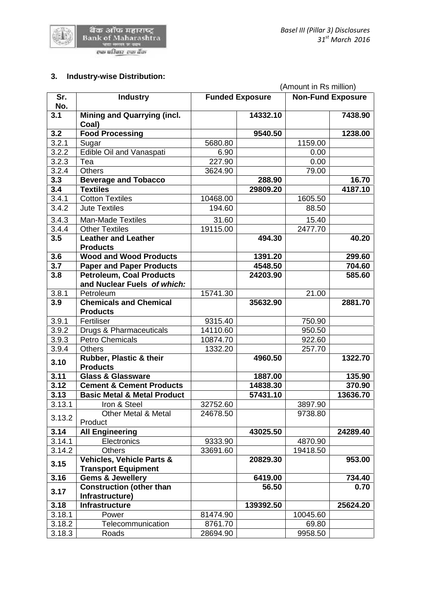

# **3. Industry-wise Distribution:**

|        |                                                  | (Amount in Rs million) |           |                          |          |  |
|--------|--------------------------------------------------|------------------------|-----------|--------------------------|----------|--|
| Sr.    | <b>Industry</b>                                  | <b>Funded Exposure</b> |           | <b>Non-Fund Exposure</b> |          |  |
| No.    |                                                  |                        |           |                          |          |  |
| 3.1    | <b>Mining and Quarrying (incl.</b>               |                        | 14332.10  |                          | 7438.90  |  |
| 3.2    | Coal)<br><b>Food Processing</b>                  |                        | 9540.50   |                          | 1238.00  |  |
| 3.2.1  | Sugar                                            | 5680.80                |           | 1159.00                  |          |  |
| 3.2.2  | Edible Oil and Vanaspati                         | 6.90                   |           | 0.00                     |          |  |
| 3.2.3  | Tea                                              | 227.90                 |           | 0.00                     |          |  |
| 3.2.4  | <b>Others</b>                                    | 3624.90                |           | 79.00                    |          |  |
| 3.3    | <b>Beverage and Tobacco</b>                      |                        | 288.90    |                          | 16.70    |  |
| 3.4    | <b>Textiles</b>                                  |                        | 29809.20  |                          | 4187.10  |  |
| 3.4.1  | <b>Cotton Textiles</b>                           | 10468.00               |           | 1605.50                  |          |  |
| 3.4.2  | <b>Jute Textiles</b>                             | 194.60                 |           | 88.50                    |          |  |
| 3.4.3  | <b>Man-Made Textiles</b>                         | 31.60                  |           | 15.40                    |          |  |
| 3.4.4  | <b>Other Textiles</b>                            | 19115.00               |           | 2477.70                  |          |  |
| 3.5    | <b>Leather and Leather</b>                       |                        | 494.30    |                          | 40.20    |  |
|        | <b>Products</b>                                  |                        |           |                          |          |  |
| 3.6    | <b>Wood and Wood Products</b>                    |                        | 1391.20   |                          | 299.60   |  |
| 3.7    | <b>Paper and Paper Products</b>                  |                        | 4548.50   |                          | 704.60   |  |
| 3.8    | <b>Petroleum, Coal Products</b>                  |                        | 24203.90  |                          | 585.60   |  |
|        | and Nuclear Fuels of which:                      |                        |           |                          |          |  |
| 3.8.1  | Petroleum                                        | 15741.30               |           | 21.00                    |          |  |
| 3.9    | <b>Chemicals and Chemical</b><br><b>Products</b> |                        | 35632.90  |                          | 2881.70  |  |
| 3.9.1  | Fertiliser                                       | 9315.40                |           | 750.90                   |          |  |
| 3.9.2  | Drugs & Pharmaceuticals                          | 14110.60               |           | 950.50                   |          |  |
| 3.9.3  | <b>Petro Chemicals</b>                           | 10874.70               |           | 922.60                   |          |  |
| 3.9.4  | <b>Others</b>                                    | 1332.20                |           | 257.70                   |          |  |
| 3.10   | Rubber, Plastic & their<br><b>Products</b>       |                        | 4960.50   |                          | 1322.70  |  |
| 3.11   | <b>Glass &amp; Glassware</b>                     |                        | 1887.00   |                          | 135.90   |  |
| 3.12   | <b>Cement &amp; Cement Products</b>              |                        | 14838.30  |                          | 370.90   |  |
| 3.13   | <b>Basic Metal &amp; Metal Product</b>           |                        | 57431.10  |                          | 13636.70 |  |
| 3.13.1 | Iron & Steel                                     | 32752.60               |           | 3897.90                  |          |  |
| 3.13.2 | Other Metal & Metal                              | 24678.50               |           | 9738.80                  |          |  |
|        | Product                                          |                        |           |                          |          |  |
| 3.14   | <b>All Engineering</b>                           |                        | 43025.50  |                          | 24289.40 |  |
| 3.14.1 | Electronics                                      | 9333.90                |           | 4870.90                  |          |  |
| 3.14.2 | <b>Others</b>                                    | 33691.60               |           | 19418.50                 |          |  |
| 3.15   | <b>Vehicles, Vehicle Parts &amp;</b>             |                        | 20829.30  |                          | 953.00   |  |
|        | <b>Transport Equipment</b>                       |                        |           |                          |          |  |
| 3.16   | <b>Gems &amp; Jewellery</b>                      |                        | 6419.00   |                          | 734.40   |  |
| 3.17   | <b>Construction (other than</b>                  |                        | 56.50     |                          | 0.70     |  |
| 3.18   | Infrastructure)<br>Infrastructure                |                        | 139392.50 |                          | 25624.20 |  |
| 3.18.1 | Power                                            | 81474.90               |           | 10045.60                 |          |  |
| 3.18.2 | Telecommunication                                | 8761.70                |           | 69.80                    |          |  |
| 3.18.3 | Roads                                            | 28694.90               |           | 9958.50                  |          |  |
|        |                                                  |                        |           |                          |          |  |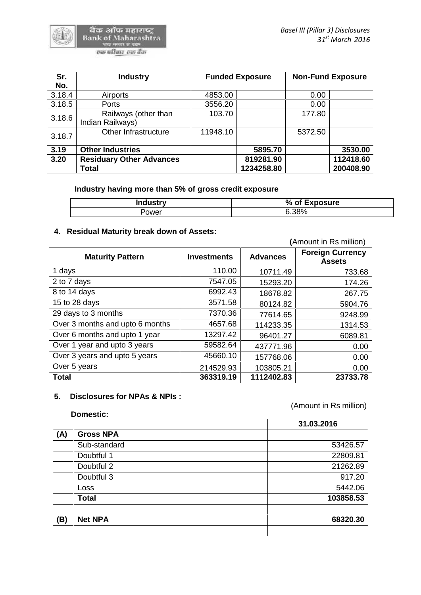र्बैंक ऑफ महाराष्ट्र<br>Bank of Maharashtra भारत मण्डल का काम<br>इन्छ प्रसिद्धार्थ इन्छा बैँक

| Sr.    | <b>Industry</b>                          |          | <b>Funded Exposure</b> |         | <b>Non-Fund Exposure</b> |
|--------|------------------------------------------|----------|------------------------|---------|--------------------------|
| No.    |                                          |          |                        |         |                          |
| 3.18.4 | Airports                                 | 4853.00  |                        | 0.00    |                          |
| 3.18.5 | Ports                                    | 3556.20  |                        | 0.00    |                          |
| 3.18.6 | Railways (other than<br>Indian Railways) | 103.70   |                        | 177.80  |                          |
| 3.18.7 | Other Infrastructure                     | 11948.10 |                        | 5372.50 |                          |
| 3.19   | <b>Other Industries</b>                  |          | 5895.70                |         | 3530.00                  |
| 3.20   | <b>Residuary Other Advances</b>          |          | 819281.90              |         | 112418.60                |
|        | <b>Total</b>                             |          | 1234258.80             |         | 200408.90                |

## **Industry having more than 5% of gross credit exposure**

| <b>Industry</b> | % of Exposure |
|-----------------|---------------|
| Power           | $6.38\%$      |

# **4. Residual Maturity break down of Assets:**

|                                 | (Amount in Rs million) |                 |                                          |  |  |
|---------------------------------|------------------------|-----------------|------------------------------------------|--|--|
| <b>Maturity Pattern</b>         | <b>Investments</b>     | <b>Advances</b> | <b>Foreign Currency</b><br><b>Assets</b> |  |  |
| 1 days                          | 110.00                 | 10711.49        | 733.68                                   |  |  |
| 2 to 7 days                     | 7547.05                | 15293.20        | 174.26                                   |  |  |
| 8 to 14 days                    | 6992.43                | 18678.82        | 267.75                                   |  |  |
| 15 to 28 days                   | 3571.58                | 80124.82        | 5904.76                                  |  |  |
| 29 days to 3 months             | 7370.36                | 77614.65        | 9248.99                                  |  |  |
| Over 3 months and upto 6 months | 4657.68                | 114233.35       | 1314.53                                  |  |  |
| Over 6 months and upto 1 year   | 13297.42               | 96401.27        | 6089.81                                  |  |  |
| Over 1 year and upto 3 years    | 59582.64               | 437771.96       | 0.00                                     |  |  |
| Over 3 years and upto 5 years   | 45660.10               | 157768.06       | 0.00                                     |  |  |
| Over 5 years                    | 214529.93              | 103805.21       | 0.00                                     |  |  |
| <b>Total</b>                    | 363319.19              | 1112402.83      | 23733.78                                 |  |  |

### **5. Disclosures for NPAs & NPIs :**

(Amount in Rs million)

| 31.03.2016<br>53426.57 |
|------------------------|
|                        |
|                        |
|                        |
| 22809.81               |
| 21262.89               |
| 917.20                 |
| 5442.06                |
| 103858.53              |
| 68320.30               |
|                        |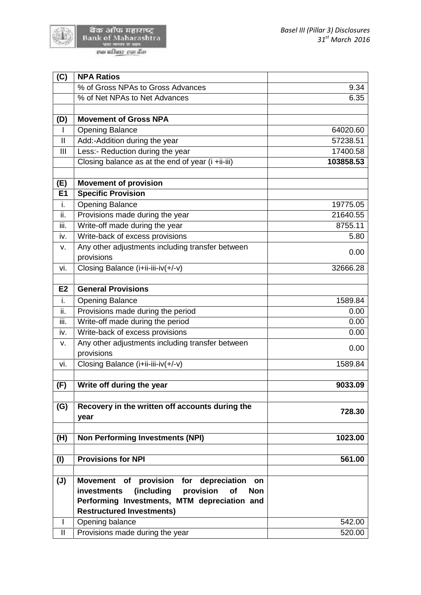

d. أفتتا

| (C)<br><b>NPA Ratios</b>                                                                  |           |
|-------------------------------------------------------------------------------------------|-----------|
| % of Gross NPAs to Gross Advances                                                         | 9.34      |
| % of Net NPAs to Net Advances                                                             | 6.35      |
|                                                                                           |           |
| <b>Movement of Gross NPA</b><br>(D)                                                       |           |
| <b>Opening Balance</b><br>$\mathbf{I}$                                                    | 64020.60  |
| $\mathbf{II}$<br>Add:-Addition during the year                                            | 57238.51  |
| III<br>Less:- Reduction during the year                                                   | 17400.58  |
| Closing balance as at the end of year (i +ii-iii)                                         | 103858.53 |
| <b>Movement of provision</b>                                                              |           |
| (E)<br>E1<br><b>Specific Provision</b>                                                    |           |
| i.<br><b>Opening Balance</b>                                                              | 19775.05  |
| ii.<br>Provisions made during the year                                                    | 21640.55  |
| iii.<br>Write-off made during the year                                                    | 8755.11   |
| Write-back of excess provisions<br>iv.                                                    | 5.80      |
| Any other adjustments including transfer between                                          |           |
| ٧.<br>provisions                                                                          | 0.00      |
| Closing Balance (i+ii-iii-iv(+/-v)<br>vi.                                                 | 32666.28  |
|                                                                                           |           |
| E2<br><b>General Provisions</b>                                                           |           |
| i.<br><b>Opening Balance</b>                                                              | 1589.84   |
| ii.<br>Provisions made during the period                                                  | 0.00      |
| iii.<br>Write-off made during the period                                                  | 0.00      |
| Write-back of excess provisions<br>iv.                                                    | 0.00      |
| Any other adjustments including transfer between<br>٧.                                    |           |
| provisions                                                                                | 0.00      |
| Closing Balance (i+ii-iii-iv(+/-v)<br>vi.                                                 | 1589.84   |
|                                                                                           |           |
| Write off during the year<br>(F)                                                          | 9033.09   |
| Recovery in the written off accounts during the<br>(G)                                    |           |
| year                                                                                      | 728.30    |
|                                                                                           |           |
| <b>Non Performing Investments (NPI)</b><br>(H)                                            | 1023.00   |
| <b>Provisions for NPI</b>                                                                 |           |
| (1)                                                                                       | 561.00    |
| $(\mathsf{U})$<br><b>Movement</b><br>provision for depreciation<br><b>of</b><br><b>on</b> |           |
| (including<br>provision<br>investments<br>of<br><b>Non</b>                                |           |
| Performing Investments, MTM depreciation and                                              |           |
| <b>Restructured Investments)</b>                                                          |           |
| I<br>Opening balance                                                                      | 542.00    |
| Ш<br>Provisions made during the year                                                      | 520.00    |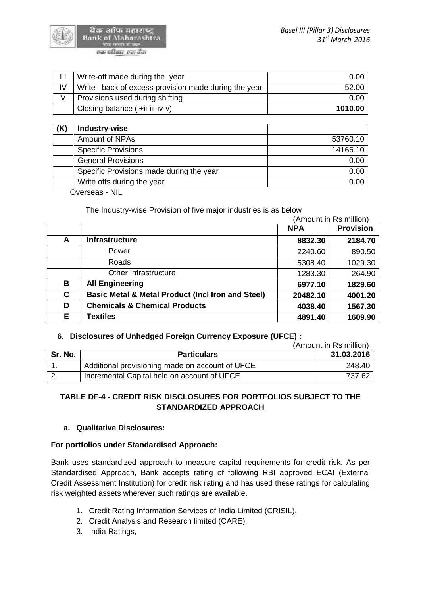

बैक ऑफ महाराष्ट **Bank of Maharashtra** एक परिवार एक वैंक

| Ш<br>Write-off made during the year                         | 0.00    |
|-------------------------------------------------------------|---------|
| IV<br>Write – back of excess provision made during the year | 52.00   |
| Provisions used during shifting                             | 0.00    |
| Closing balance (i+ii-iii-iv-v)                             | 1010.00 |

| (K) | Industry-wise                            |          |
|-----|------------------------------------------|----------|
|     | Amount of NPAs                           | 53760.10 |
|     | <b>Specific Provisions</b>               | 14166.10 |
|     | <b>General Provisions</b>                | 0.00     |
|     | Specific Provisions made during the year | 0.00     |
|     | Write offs during the year               | 0.00     |

Overseas - NIL

The Industry-wise Provision of five major industries is as below

|    | (Amount in Rs million)                                       |            |                  |
|----|--------------------------------------------------------------|------------|------------------|
|    |                                                              | <b>NPA</b> | <b>Provision</b> |
| A  | <b>Infrastructure</b>                                        | 8832.30    | 2184.70          |
|    | Power                                                        | 2240.60    | 890.50           |
|    | Roads                                                        | 5308.40    | 1029.30          |
|    | Other Infrastructure                                         | 1283.30    | 264.90           |
| В  | <b>All Engineering</b>                                       | 6977.10    | 1829.60          |
| C  | <b>Basic Metal &amp; Metal Product (Incl Iron and Steel)</b> | 20482.10   | 4001.20          |
| D  | <b>Chemicals &amp; Chemical Products</b>                     | 4038.40    | 1567.30          |
| E. | <b>Textiles</b>                                              | 4891.40    | 1609.90          |

# **6. Disclosures of Unhedged Foreign Currency Exposure (UFCE) :**

|         |                                                 | (Amount in Rs million) |
|---------|-------------------------------------------------|------------------------|
| Sr. No. | <b>Particulars</b>                              | 31.03.2016             |
|         | Additional provisioning made on account of UFCE | 248.40                 |
|         | Incremental Capital held on account of UFCE     | 737.62                 |

# **TABLE DF-4 - CREDIT RISK DISCLOSURES FOR PORTFOLIOS SUBJECT TO THE STANDARDIZED APPROACH**

### **a. Qualitative Disclosures:**

### **For portfolios under Standardised Approach:**

Bank uses standardized approach to measure capital requirements for credit risk. As per Standardised Approach, Bank accepts rating of following RBI approved ECAI (External Credit Assessment Institution) for credit risk rating and has used these ratings for calculating risk weighted assets wherever such ratings are available.

- 1. Credit Rating Information Services of India Limited (CRISIL),
- 2. Credit Analysis and Research limited (CARE),
- 3. India Ratings,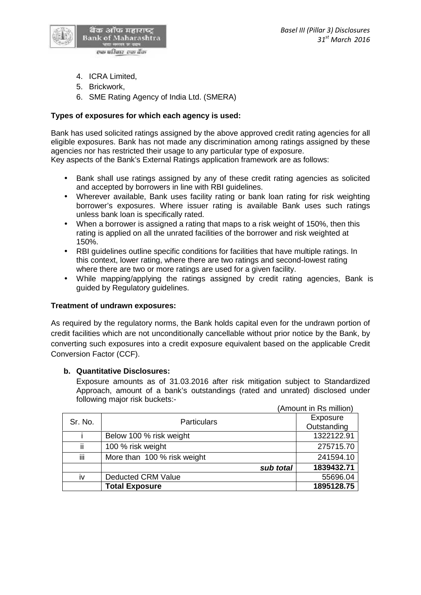

- 4. ICRA Limited,
- 5. Brickwork,
- 6. SME Rating Agency of India Ltd. (SMERA)

## **Types of exposures for which each agency is used:**

Bank has used solicited ratings assigned by the above approved credit rating agencies for all eligible exposures. Bank has not made any discrimination among ratings assigned by these agencies nor has restricted their usage to any particular type of exposure.

Key aspects of the Bank's External Ratings application framework are as follows:

- Bank shall use ratings assigned by any of these credit rating agencies as solicited and accepted by borrowers in line with RBI guidelines.
- Wherever available, Bank uses facility rating or bank loan rating for risk weighting borrower's exposures. Where issuer rating is available Bank uses such ratings unless bank loan is specifically rated.
- When a borrower is assigned a rating that maps to a risk weight of 150%, then this rating is applied on all the unrated facilities of the borrower and risk weighted at 150%.
- RBI guidelines outline specific conditions for facilities that have multiple ratings. In this context, lower rating, where there are two ratings and second-lowest rating where there are two or more ratings are used for a given facility.
- While mapping/applying the ratings assigned by credit rating agencies, Bank is guided by Regulatory guidelines.

### **Treatment of undrawn exposures:**

As required by the regulatory norms, the Bank holds capital even for the undrawn portion of credit facilities which are not unconditionally cancellable without prior notice by the Bank, by converting such exposures into a credit exposure equivalent based on the applicable Credit Conversion Factor (CCF).

### **b. Quantitative Disclosures:**

Exposure amounts as of 31.03.2016 after risk mitigation subject to Standardized Approach, amount of a bank's outstandings (rated and unrated) disclosed under following major risk buckets:-

|     |                               | (Amount in Rs million) |
|-----|-------------------------------|------------------------|
|     | Sr. No.<br><b>Particulars</b> | Exposure               |
|     |                               | Outstanding            |
|     | Below 100 % risk weight       | 1322122.91             |
| jj. | 100 % risk weight             | 275715.70              |
| iii | More than 100 % risk weight   | 241594.10              |
|     | sub total                     | 1839432.71             |
| iv  | <b>Deducted CRM Value</b>     | 55696.04               |
|     | <b>Total Exposure</b>         | 1895128.75             |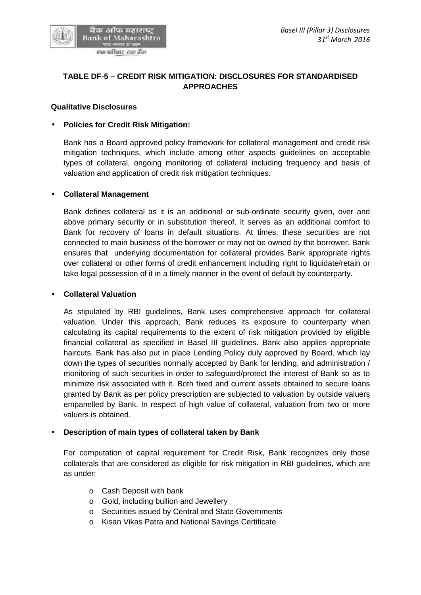

# **TABLE DF-5 – CREDIT RISK MITIGATION: DISCLOSURES FOR STANDARDISED APPROACHES**

### **Qualitative Disclosures**

#### **Policies for Credit Risk Mitigation:**

Bank has a Board approved policy framework for collateral management and credit risk mitigation techniques, which include among other aspects guidelines on acceptable types of collateral, ongoing monitoring of collateral including frequency and basis of valuation and application of credit risk mitigation techniques.

#### **Collateral Management**

Bank defines collateral as it is an additional or sub-ordinate security given, over and above primary security or in substitution thereof. It serves as an additional comfort to Bank for recovery of loans in default situations. At times, these securities are not connected to main business of the borrower or may not be owned by the borrower. Bank ensures that underlying documentation for collateral provides Bank appropriate rights over collateral or other forms of credit enhancement including right to liquidate/retain or take legal possession of it in a timely manner in the event of default by counterparty.

#### **Collateral Valuation**

As stipulated by RBI guidelines, Bank uses comprehensive approach for collateral valuation. Under this approach, Bank reduces its exposure to counterparty when calculating its capital requirements to the extent of risk mitigation provided by eligible financial collateral as specified in Basel III guidelines. Bank also applies appropriate haircuts. Bank has also put in place Lending Policy duly approved by Board, which lay down the types of securities normally accepted by Bank for lending, and administration / monitoring of such securities in order to safeguard/protect the interest of Bank so as to minimize risk associated with it. Both fixed and current assets obtained to secure loans granted by Bank as per policy prescription are subjected to valuation by outside valuers empanelled by Bank. In respect of high value of collateral, valuation from two or more valuers is obtained.

### **Description of main types of collateral taken by Bank**

For computation of capital requirement for Credit Risk, Bank recognizes only those collaterals that are considered as eligible for risk mitigation in RBI guidelines, which are as under:

- o Cash Deposit with bank
- o Gold, including bullion and Jewellery
- o Securities issued by Central and State Governments
- o Kisan Vikas Patra and National Savings Certificate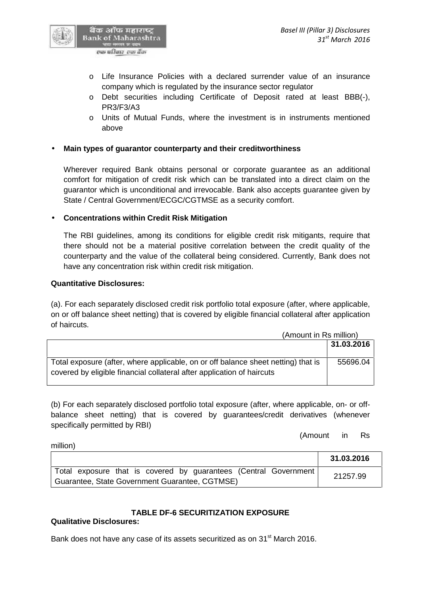

एक परिवार-एक वैंक

- o Life Insurance Policies with a declared surrender value of an insurance company which is regulated by the insurance sector regulator
- o Debt securities including Certificate of Deposit rated at least BBB(-), PR3/F3/A3
- o Units of Mutual Funds, where the investment is in instruments mentioned above

# **Main types of guarantor counterparty and their creditworthiness**

Wherever required Bank obtains personal or corporate guarantee as an additional comfort for mitigation of credit risk which can be translated into a direct claim on the guarantor which is unconditional and irrevocable. Bank also accepts guarantee given by State / Central Government/ECGC/CGTMSE as a security comfort.

# **Concentrations within Credit Risk Mitigation**

The RBI guidelines, among its conditions for eligible credit risk mitigants, require that there should not be a material positive correlation between the credit quality of the counterparty and the value of the collateral being considered. Currently, Bank does not have any concentration risk within credit risk mitigation.

## **Quantitative Disclosures:**

(a). For each separately disclosed credit risk portfolio total exposure (after, where applicable, on or off balance sheet netting) that is covered by eligible financial collateral after application of haircuts.

|                                                                                                                                                             | (Amount in Rs million) |  |
|-------------------------------------------------------------------------------------------------------------------------------------------------------------|------------------------|--|
|                                                                                                                                                             | 31.03.2016             |  |
| Total exposure (after, where applicable, on or off balance sheet netting) that is<br>covered by eligible financial collateral after application of haircuts | 55696.04               |  |

(b) For each separately disclosed portfolio total exposure (after, where applicable, on- or off balance sheet netting) that is covered by guarantees/credit derivatives (whenever specifically permitted by RBI)

(Amount in Rs

million)

|                                                                  | 31.03.2016 |
|------------------------------------------------------------------|------------|
| Total exposure that is covered by guarantees (Central Government | 21257.99   |
| Guarantee, State Government Guarantee, CGTMSE)                   |            |

# **TABLE DF-6 SECURITIZATION EXPOSURE**

### **Qualitative Disclosures:**

Bank does not have any case of its assets securitized as on 31<sup>st</sup> March 2016.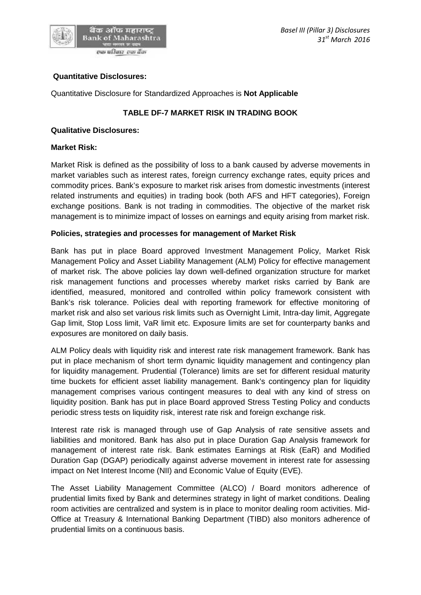

### **Quantitative Disclosures:**

Quantitative Disclosure for Standardized Approaches is **Not Applicable**

## **TABLE DF-7 MARKET RISK IN TRADING BOOK**

#### **Qualitative Disclosures:**

#### **Market Risk:**

Market Risk is defined as the possibility of loss to a bank caused by adverse movements in market variables such as interest rates, foreign currency exchange rates, equity prices and commodity prices. Bank's exposure to market risk arises from domestic investments (interest related instruments and equities) in trading book (both AFS and HFT categories), Foreign exchange positions. Bank is not trading in commodities. The objective of the market risk management is to minimize impact of losses on earnings and equity arising from market risk.

#### **Policies, strategies and processes for management of Market Risk**

Bank has put in place Board approved Investment Management Policy, Market Risk Management Policy and Asset Liability Management (ALM) Policy for effective management of market risk. The above policies lay down well-defined organization structure for market risk management functions and processes whereby market risks carried by Bank are identified, measured, monitored and controlled within policy framework consistent with Bank's risk tolerance. Policies deal with reporting framework for effective monitoring of market risk and also set various risk limits such as Overnight Limit, Intra-day limit, Aggregate Gap limit, Stop Loss limit, VaR limit etc. Exposure limits are set for counterparty banks and exposures are monitored on daily basis.

ALM Policy deals with liquidity risk and interest rate risk management framework. Bank has put in place mechanism of short term dynamic liquidity management and contingency plan for liquidity management. Prudential (Tolerance) limits are set for different residual maturity time buckets for efficient asset liability management. Bank's contingency plan for liquidity management comprises various contingent measures to deal with any kind of stress on liquidity position. Bank has put in place Board approved Stress Testing Policy and conducts periodic stress tests on liquidity risk, interest rate risk and foreign exchange risk.

Interest rate risk is managed through use of Gap Analysis of rate sensitive assets and liabilities and monitored. Bank has also put in place Duration Gap Analysis framework for management of interest rate risk. Bank estimates Earnings at Risk (EaR) and Modified Duration Gap (DGAP) periodically against adverse movement in interest rate for assessing impact on Net Interest Income (NII) and Economic Value of Equity (EVE).

The Asset Liability Management Committee (ALCO) / Board monitors adherence of prudential limits fixed by Bank and determines strategy in light of market conditions. Dealing room activities are centralized and system is in place to monitor dealing room activities. Mid- Office at Treasury & International Banking Department (TIBD) also monitors adherence of prudential limits on a continuous basis.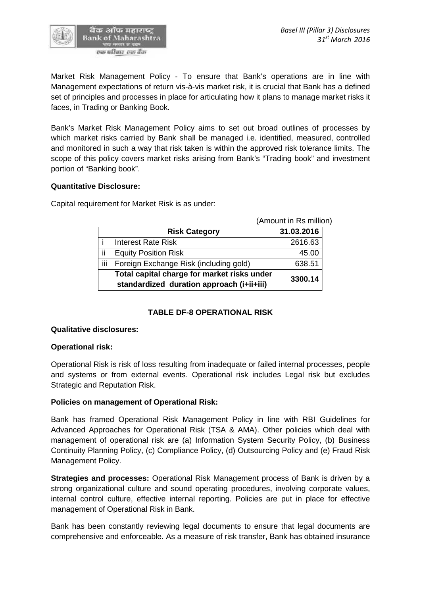

Market Risk Management Policy - To ensure that Bank's operations are in line with Management expectations of return vis-à-vis market risk, it is crucial that Bank has a defined set of principles and processes in place for articulating how it plans to manage market risks it faces, in Trading or Banking Book.

Bank's Market Risk Management Policy aims to set out broad outlines of processes by which market risks carried by Bank shall be managed i.e. identified, measured, controlled and monitored in such a way that risk taken is within the approved risk tolerance limits. The scope of this policy covers market risks arising from Bank's "Trading book" and investment portion of "Banking book".

#### **Quantitative Disclosure:**

Capital requirement for Market Risk is as under:

| (Amount in Rs million)                                                                   |            |
|------------------------------------------------------------------------------------------|------------|
| <b>Risk Category</b>                                                                     | 31.03.2016 |
| Interest Rate Risk                                                                       | 2616.63    |
| ij<br><b>Equity Position Risk</b>                                                        | 45.00      |
| iij<br>Foreign Exchange Risk (including gold)                                            | 638.51     |
| Total capital charge for market risks under<br>standardized duration approach (i+ii+iii) | 3300.14    |

### **TABLE DF-8 OPERATIONAL RISK**

### **Qualitative disclosures:**

#### **Operational risk:**

Operational Risk is risk of loss resulting from inadequate or failed internal processes, people and systems or from external events. Operational risk includes Legal risk but excludes Strategic and Reputation Risk.

### **Policies on management of Operational Risk:**

Bank has framed Operational Risk Management Policy in line with RBI Guidelines for Advanced Approaches for Operational Risk (TSA & AMA). Other policies which deal with management of operational risk are (a) Information System Security Policy, (b) Business Continuity Planning Policy, (c) Compliance Policy, (d) Outsourcing Policy and (e) Fraud Risk Management Policy.

**Strategies and processes:** Operational Risk Management process of Bank is driven by a strong organizational culture and sound operating procedures, involving corporate values, internal control culture, effective internal reporting. Policies are put in place for effective management of Operational Risk in Bank.

Bank has been constantly reviewing legal documents to ensure that legal documents are comprehensive and enforceable. As a measure of risk transfer, Bank has obtained insurance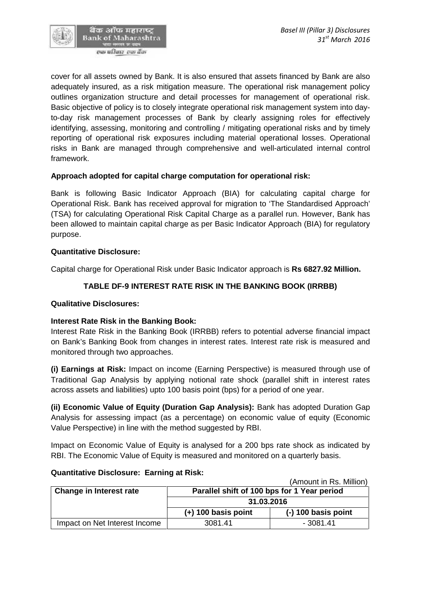

cover for all assets owned by Bank. It is also ensured that assets financed by Bank are also adequately insured, as a risk mitigation measure. The operational risk management policy outlines organization structure and detail processes for management of operational risk. Basic objective of policy is to closely integrate operational risk management system into dayto-day risk management processes of Bank by clearly assigning roles for effectively identifying, assessing, monitoring and controlling / mitigating operational risks and by timely reporting of operational risk exposures including material operational losses. Operational risks in Bank are managed through comprehensive and well-articulated internal control framework.

### **Approach adopted for capital charge computation for operational risk:**

Bank is following Basic Indicator Approach (BIA) for calculating capital charge for Operational Risk. Bank has received approval for migration to 'The Standardised Approach' (TSA) for calculating Operational Risk Capital Charge as a parallel run. However, Bank has been allowed to maintain capital charge as per Basic Indicator Approach (BIA) for regulatory purpose.

#### **Quantitative Disclosure:**

Capital charge for Operational Risk under Basic Indicator approach is **Rs 6827.92 Million.**

## **TABLE DF-9 INTEREST RATE RISK IN THE BANKING BOOK (IRRBB)**

#### **Qualitative Disclosures:**

### **Interest Rate Risk in the Banking Book:**

Interest Rate Risk in the Banking Book (IRRBB) refers to potential adverse financial impact on Bank's Banking Book from changes in interest rates. Interest rate risk is measured and monitored through two approaches.

**(i) Earnings at Risk:** Impact on income (Earning Perspective) is measured through use of Traditional Gap Analysis by applying notional rate shock (parallel shift in interest rates across assets and liabilities) upto 100 basis point (bps) for a period of one year.

**(ii) Economic Value of Equity (Duration Gap Analysis):** Bank has adopted Duration Gap Analysis for assessing impact (as a percentage) on economic value of equity (Economic Value Perspective) in line with the method suggested by RBI.

Impact on Economic Value of Equity is analysed for a 200 bps rate shock as indicated by RBI. The Economic Value of Equity is measured and monitored on a quarterly basis.

|                                |                                             | (Amount in Rs. Million) |  |
|--------------------------------|---------------------------------------------|-------------------------|--|
| <b>Change in Interest rate</b> | Parallel shift of 100 bps for 1 Year period |                         |  |
|                                | 31.03.2016                                  |                         |  |
|                                | $(+)$ 100 basis point                       | $(-)$ 100 basis point   |  |
| Impact on Net Interest Income  | 3081.41                                     | - 3081.41               |  |

### **Quantitative Disclosure: Earning at Risk:**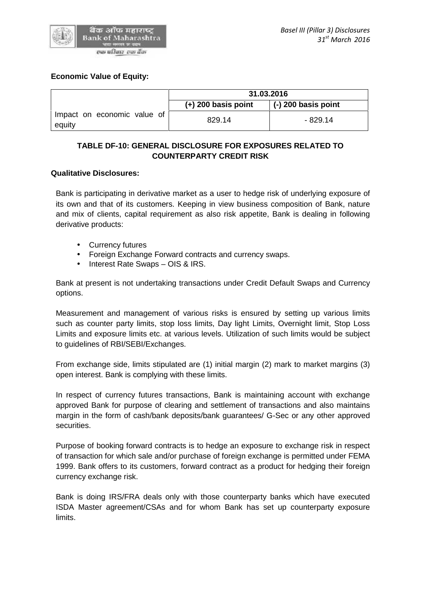

### **Economic Value of Equity:**

|                                       | 31.03.2016            |                     |
|---------------------------------------|-----------------------|---------------------|
|                                       | $(+)$ 200 basis point | (-) 200 basis point |
| Impact on economic value of<br>equity | 829.14                | - 829.14            |

# **TABLE DF-10: GENERAL DISCLOSURE FOR EXPOSURES RELATED TO COUNTERPARTY CREDIT RISK**

### **Qualitative Disclosures:**

Bank is participating in derivative market as a user to hedge risk of underlying exposure of its own and that of its customers. Keeping in view business composition of Bank, nature and mix of clients, capital requirement as also risk appetite, Bank is dealing in following derivative products:

- Currency futures
- Foreign Exchange Forward contracts and currency swaps.
- Interest Rate Swaps OIS & IRS.

Bank at present is not undertaking transactions under Credit Default Swaps and Currency options.

Measurement and management of various risks is ensured by setting up various limits such as counter party limits, stop loss limits, Day light Limits, Overnight limit, Stop Loss Limits and exposure limits etc. at various levels. Utilization of such limits would be subject to guidelines of RBI/SEBI/Exchanges.

From exchange side, limits stipulated are (1) initial margin (2) mark to market margins (3) open interest. Bank is complying with these limits.

In respect of currency futures transactions, Bank is maintaining account with exchange approved Bank for purpose of clearing and settlement of transactions and also maintains margin in the form of cash/bank deposits/bank guarantees/ G-Sec or any other approved securities.

Purpose of booking forward contracts is to hedge an exposure to exchange risk in respect of transaction for which sale and/or purchase of foreign exchange is permitted under FEMA 1999. Bank offers to its customers, forward contract as a product for hedging their foreign currency exchange risk.

Bank is doing IRS/FRA deals only with those counterparty banks which have executed ISDA Master agreement/CSAs and for whom Bank has set up counterparty exposure limits.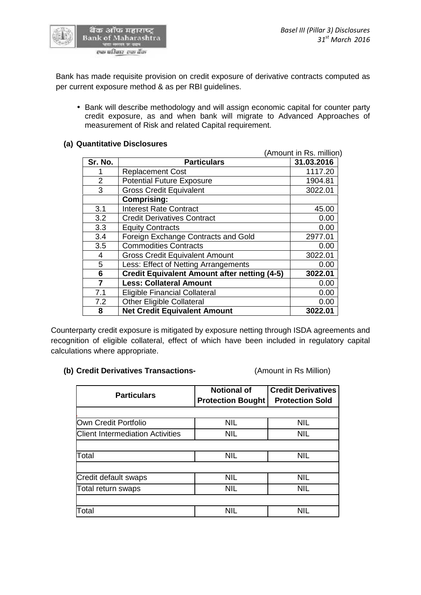

Bank has made requisite provision on credit exposure of derivative contracts computed as per current exposure method & as per RBI guidelines.

 Bank will describe methodology and will assign economic capital for counter party credit exposure, as and when bank will migrate to Advanced Approaches of measurement of Risk and related Capital requirement.

### **(a) Quantitative Disclosures**

|                |                                                     | (Amount in Rs. million) |
|----------------|-----------------------------------------------------|-------------------------|
| Sr. No.        | <b>Particulars</b>                                  | 31.03.2016              |
|                | <b>Replacement Cost</b>                             | 1117.20                 |
| $\overline{2}$ | <b>Potential Future Exposure</b>                    | 1904.81                 |
| 3              | <b>Gross Credit Equivalent</b>                      | 3022.01                 |
|                | <b>Comprising:</b>                                  |                         |
| 3.1            | <b>Interest Rate Contract</b>                       | 45.00                   |
| 3.2            | <b>Credit Derivatives Contract</b>                  | 0.00                    |
| 3.3            | <b>Equity Contracts</b>                             | 0.00                    |
| 3.4            | Foreign Exchange Contracts and Gold                 | 2977.01                 |
| 3.5            | <b>Commodities Contracts</b>                        | 0.00                    |
| 4              | <b>Gross Credit Equivalent Amount</b>               | 3022.01                 |
| 5              | Less: Effect of Netting Arrangements                | 0.00                    |
| 6              | <b>Credit Equivalent Amount after netting (4-5)</b> | 3022.01                 |
| $\overline{7}$ | <b>Less: Collateral Amount</b>                      | 0.00                    |
| 7.1            | <b>Eligible Financial Collateral</b>                | 0.00                    |
| 7.2            | <b>Other Eligible Collateral</b>                    | 0.00                    |
| 8              | <b>Net Credit Equivalent Amount</b>                 | 3022.01                 |

Counterparty credit exposure is mitigated by exposure netting through ISDA agreements and recognition of eligible collateral, effect of which have been included in regulatory capital calculations where appropriate.

### **(b) Credit Derivatives Transactions-** (Amount in Rs Million)

| <b>Particulars</b>                      | <b>Notional of</b><br><b>Protection Bought</b> | <b>Credit Derivatives</b><br><b>Protection Sold</b> |
|-----------------------------------------|------------------------------------------------|-----------------------------------------------------|
|                                         |                                                |                                                     |
| Own Credit Portfolio                    | <b>NIL</b>                                     | <b>NIL</b>                                          |
| <b>Client Intermediation Activities</b> | <b>NIL</b>                                     | <b>NIL</b>                                          |
| Total                                   | <b>NIL</b>                                     | <b>NIL</b>                                          |
| Credit default swaps                    | <b>NIL</b>                                     | <b>NIL</b>                                          |
| Total return swaps                      | <b>NIL</b>                                     | <b>NIL</b>                                          |
|                                         |                                                |                                                     |
| Total                                   | <b>NIL</b>                                     | NIL                                                 |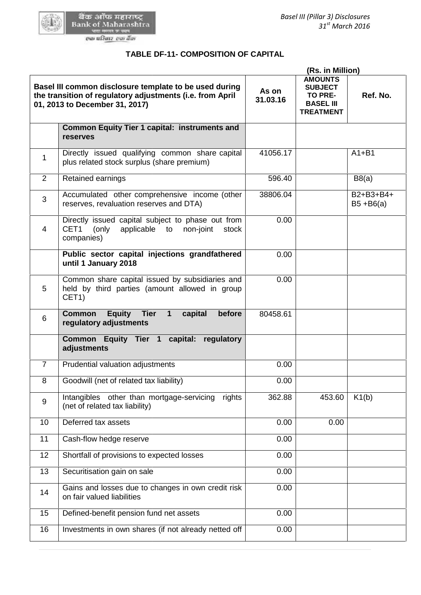

# **TABLE DF-11- COMPOSITION OF CAPITAL**

|                | TABLE DF-11- COMPOSITION OF CAPITAL                                                                                                                   |                   |                                                                                                                |                           |
|----------------|-------------------------------------------------------------------------------------------------------------------------------------------------------|-------------------|----------------------------------------------------------------------------------------------------------------|---------------------------|
|                | Basel III common disclosure template to be used during<br>the transition of regulatory adjustments (i.e. from April<br>01, 2013 to December 31, 2017) | As on<br>31.03.16 | (Rs. in Million)<br><b>AMOUNTS</b><br><b>SUBJECT</b><br><b>TO PRE-</b><br><b>BASEL III</b><br><b>TREATMENT</b> | Ref. No.                  |
|                | Common Equity Tier 1 capital: instruments and<br>reserves                                                                                             |                   |                                                                                                                |                           |
| 1              | Directly issued qualifying common share capital<br>plus related stock surplus (share premium)                                                         | 41056.17          |                                                                                                                | $A1 + B1$                 |
| 2              | Retained earnings                                                                                                                                     | 596.40            |                                                                                                                | B8(a)                     |
| 3              | Accumulated other comprehensive income (other<br>reserves, revaluation reserves and DTA)                                                              | 38806.04          |                                                                                                                | B2+B3+B4+<br>$B5 + B6(a)$ |
| $\overline{4}$ | Directly issued capital subject to phase out from<br>CET1<br>(only<br>applicable to non-joint<br>stock<br>companies)                                  | 0.00              |                                                                                                                |                           |
|                | Public sector capital injections grandfathered<br>until 1 January 2018                                                                                | 0.00              |                                                                                                                |                           |
| 5              | Common share capital issued by subsidiaries and<br>held by third parties (amount allowed in group<br>CET <sub>1</sub> )                               | 0.00              |                                                                                                                |                           |
| 6              | <b>Equity</b><br><b>Tier</b><br>before<br><b>Common</b><br>$\mathbf 1$<br>capital<br>regulatory adjustments                                           | 80458.61          |                                                                                                                |                           |
|                | Common Equity Tier 1 capital: regulatory<br>adjustments                                                                                               |                   |                                                                                                                |                           |
| $\overline{7}$ | Prudential valuation adjustments                                                                                                                      | 0.00              |                                                                                                                |                           |
| 8              | Goodwill (net of related tax liability)                                                                                                               | 0.00              |                                                                                                                |                           |
| 9              | Intangibles other than mortgage-servicing<br>rights<br>(net of related tax liability)                                                                 | 362.88            | 453.60                                                                                                         | K1(b)                     |
| 10             | Deferred tax assets                                                                                                                                   | 0.00              | 0.00                                                                                                           |                           |
| 11             | Cash-flow hedge reserve                                                                                                                               | 0.00              |                                                                                                                |                           |
| 12             | Shortfall of provisions to expected losses                                                                                                            | 0.00              |                                                                                                                |                           |
| 13             | Securitisation gain on sale                                                                                                                           | 0.00              |                                                                                                                |                           |
| 14             | Gains and losses due to changes in own credit risk<br>on fair valued liabilities                                                                      | 0.00              |                                                                                                                |                           |
| 15             | Defined-benefit pension fund net assets                                                                                                               | 0.00              |                                                                                                                |                           |
| 16             | Investments in own shares (if not already netted off                                                                                                  | 0.00              |                                                                                                                |                           |
|                |                                                                                                                                                       |                   |                                                                                                                |                           |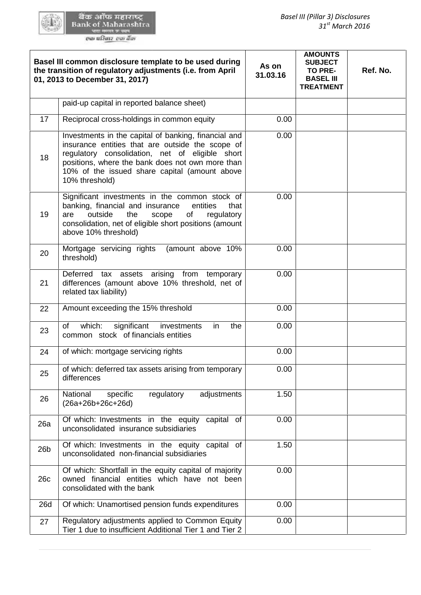|                 | Basel III common disclosure template to be used during<br>the transition of regulatory adjustments (i.e. from April<br>01, 2013 to December 31, 2017)                                                                                                                              | As on<br>31.03.16 | <b>AMOUNTS</b><br><b>SUBJECT</b><br><b>TO PRE-</b><br><b>BASEL III</b><br><b>TREATMENT</b> | Ref. No. |
|-----------------|------------------------------------------------------------------------------------------------------------------------------------------------------------------------------------------------------------------------------------------------------------------------------------|-------------------|--------------------------------------------------------------------------------------------|----------|
|                 | paid-up capital in reported balance sheet)                                                                                                                                                                                                                                         |                   |                                                                                            |          |
| 17              | Reciprocal cross-holdings in common equity                                                                                                                                                                                                                                         | 0.00              |                                                                                            |          |
| 18              | Investments in the capital of banking, financial and<br>insurance entities that are outside the scope of<br>regulatory consolidation, net of eligible short<br>positions, where the bank does not own more than<br>10% of the issued share capital (amount above<br>10% threshold) | 0.00              |                                                                                            |          |
| 19              | Significant investments in the common stock of<br>banking, financial and insurance<br>that<br>entities<br>outside<br>the<br>scope<br>of<br>regulatory<br>are<br>consolidation, net of eligible short positions (amount<br>above 10% threshold)                                     | 0.00              |                                                                                            |          |
| 20              | Mortgage servicing rights<br>(amount above 10%<br>threshold)                                                                                                                                                                                                                       | 0.00              |                                                                                            |          |
| 21              | Deferred tax assets arising from temporary<br>differences (amount above 10% threshold, net of<br>related tax liability)                                                                                                                                                            | 0.00              |                                                                                            |          |
| 22              | Amount exceeding the 15% threshold                                                                                                                                                                                                                                                 | 0.00              |                                                                                            |          |
| 23              | which:<br>significant<br>investments<br>in<br>the<br>of<br>common stock of financials entities                                                                                                                                                                                     | 0.00              |                                                                                            |          |
| 24              | of which: mortgage servicing rights                                                                                                                                                                                                                                                | 0.00              |                                                                                            |          |
| 25              | of which: deferred tax assets arising from temporary<br>differences                                                                                                                                                                                                                | 0.00              |                                                                                            |          |
| 26              | National<br>specific<br>regulatory<br>adjustments<br>$(26a+26b+26c+26d)$                                                                                                                                                                                                           | 1.50              |                                                                                            |          |
| 26a             | Of which: Investments in the equity<br>capital<br>of<br>unconsolidated insurance subsidiaries                                                                                                                                                                                      | 0.00              |                                                                                            |          |
| 26 <sub>b</sub> | Of which: Investments in the equity capital<br>of<br>unconsolidated non-financial subsidiaries                                                                                                                                                                                     | 1.50              |                                                                                            |          |
| 26c             | Of which: Shortfall in the equity capital of majority<br>owned financial entities which have not been<br>consolidated with the bank                                                                                                                                                | 0.00              |                                                                                            |          |
| 26d             | Of which: Unamortised pension funds expenditures                                                                                                                                                                                                                                   | 0.00              |                                                                                            |          |
| 27              | Regulatory adjustments applied to Common Equity<br>Tier 1 due to insufficient Additional Tier 1 and Tier 2                                                                                                                                                                         | 0.00              |                                                                                            |          |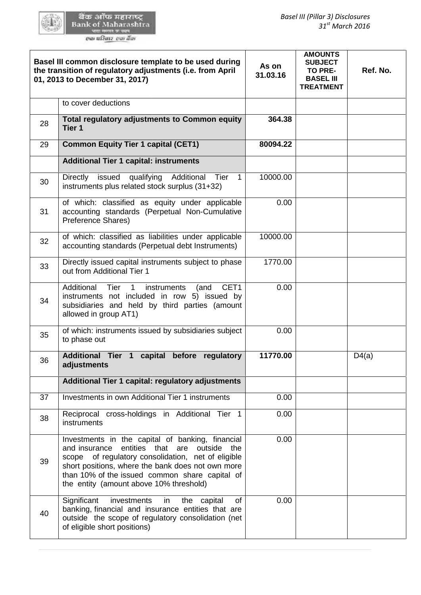|    | Basel III common disclosure template to be used during<br>the transition of regulatory adjustments (i.e. from April<br>01, 2013 to December 31, 2017)                                                                                                                                                   | As on<br>31.03.16 | <b>AMOUNTS</b><br><b>SUBJECT</b><br>TO PRE-<br><b>BASEL III</b><br><b>TREATMENT</b> | Ref. No. |
|----|---------------------------------------------------------------------------------------------------------------------------------------------------------------------------------------------------------------------------------------------------------------------------------------------------------|-------------------|-------------------------------------------------------------------------------------|----------|
|    | to cover deductions                                                                                                                                                                                                                                                                                     |                   |                                                                                     |          |
| 28 | <b>Total regulatory adjustments to Common equity</b><br>Tier 1                                                                                                                                                                                                                                          | 364.38            |                                                                                     |          |
| 29 | <b>Common Equity Tier 1 capital (CET1)</b>                                                                                                                                                                                                                                                              | 80094.22          |                                                                                     |          |
|    | <b>Additional Tier 1 capital: instruments</b>                                                                                                                                                                                                                                                           |                   |                                                                                     |          |
| 30 | issued<br>qualifying<br>Tier<br>$\mathbf{1}$<br>Directly<br>Additional<br>instruments plus related stock surplus (31+32)                                                                                                                                                                                | 10000.00          |                                                                                     |          |
| 31 | of which: classified as equity under applicable<br>accounting standards (Perpetual Non-Cumulative<br>Preference Shares)                                                                                                                                                                                 | 0.00              |                                                                                     |          |
| 32 | of which: classified as liabilities under applicable<br>accounting standards (Perpetual debt Instruments)                                                                                                                                                                                               | 10000.00          |                                                                                     |          |
| 33 | Directly issued capital instruments subject to phase<br>out from Additional Tier 1                                                                                                                                                                                                                      | 1770.00           |                                                                                     |          |
| 34 | CET1<br>Additional<br>Tier<br>$\mathbf{1}$<br>instruments<br>(and<br>instruments not included in row 5) issued by<br>subsidiaries and held by third parties (amount<br>allowed in group AT1)                                                                                                            | 0.00              |                                                                                     |          |
| 35 | of which: instruments issued by subsidiaries subject<br>to phase out                                                                                                                                                                                                                                    | 0.00              |                                                                                     |          |
| 36 | Additional Tier 1 capital before regulatory<br>adjustments                                                                                                                                                                                                                                              | 11770.00          |                                                                                     | D4(a)    |
|    | Additional Tier 1 capital: regulatory adjustments                                                                                                                                                                                                                                                       |                   |                                                                                     |          |
| 37 | Investments in own Additional Tier 1 instruments                                                                                                                                                                                                                                                        | 0.00              |                                                                                     |          |
| 38 | Reciprocal cross-holdings in Additional Tier 1<br>instruments                                                                                                                                                                                                                                           | 0.00              |                                                                                     |          |
| 39 | Investments in the capital of banking, financial<br>and insurance entities that are outside the<br>scope of regulatory consolidation, net of eligible<br>short positions, where the bank does not own more<br>than 10% of the issued common share capital of<br>the entity (amount above 10% threshold) | 0.00              |                                                                                     |          |
| 40 | Significant<br>investments<br>in<br>the capital<br>of<br>banking, financial and insurance entities that are<br>outside the scope of regulatory consolidation (net<br>of eligible short positions)                                                                                                       | 0.00              |                                                                                     |          |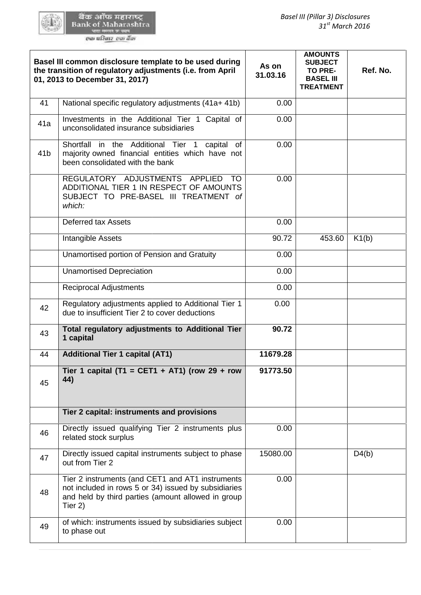|                 | Basel III common disclosure template to be used during<br>the transition of regulatory adjustments (i.e. from April<br>01, 2013 to December 31, 2017)                     | As on<br>31.03.16 | <b>AMOUNTS</b><br><b>SUBJECT</b><br>TO PRE-<br><b>BASEL III</b><br><b>TREATMENT</b> | Ref. No. |
|-----------------|---------------------------------------------------------------------------------------------------------------------------------------------------------------------------|-------------------|-------------------------------------------------------------------------------------|----------|
| 41              | National specific regulatory adjustments (41a+ 41b)                                                                                                                       | 0.00              |                                                                                     |          |
| 41a             | Investments in the Additional Tier 1 Capital of<br>unconsolidated insurance subsidiaries                                                                                  | 0.00              |                                                                                     |          |
| 41 <sub>b</sub> | Shortfall in the Additional Tier 1 capital of<br>majority owned financial entities which have not<br>been consolidated with the bank                                      | 0.00              |                                                                                     |          |
|                 | REGULATORY ADJUSTMENTS APPLIED<br>TO.<br>ADDITIONAL TIER 1 IN RESPECT OF AMOUNTS<br>SUBJECT TO PRE-BASEL III TREATMENT of<br>which:                                       | 0.00              |                                                                                     |          |
|                 | <b>Deferred tax Assets</b>                                                                                                                                                | 0.00              |                                                                                     |          |
|                 | Intangible Assets                                                                                                                                                         | 90.72             | 453.60                                                                              | K1(b)    |
|                 | Unamortised portion of Pension and Gratuity                                                                                                                               | 0.00              |                                                                                     |          |
|                 | <b>Unamortised Depreciation</b>                                                                                                                                           | 0.00              |                                                                                     |          |
|                 | <b>Reciprocal Adjustments</b>                                                                                                                                             | 0.00              |                                                                                     |          |
| 42              | Regulatory adjustments applied to Additional Tier 1<br>due to insufficient Tier 2 to cover deductions                                                                     | 0.00              |                                                                                     |          |
| 43              | Total regulatory adjustments to Additional Tier<br>1 capital                                                                                                              | 90.72             |                                                                                     |          |
| 44              | <b>Additional Tier 1 capital (AT1)</b>                                                                                                                                    | 11679.28          |                                                                                     |          |
| 45              | Tier 1 capital (T1 = CET1 + AT1) (row 29 + row<br>44)                                                                                                                     | 91773.50          |                                                                                     |          |
|                 | Tier 2 capital: instruments and provisions                                                                                                                                |                   |                                                                                     |          |
| 46              | Directly issued qualifying Tier 2 instruments plus<br>related stock surplus                                                                                               | 0.00              |                                                                                     |          |
| 47              | Directly issued capital instruments subject to phase<br>out from Tier 2                                                                                                   | 15080.00          |                                                                                     | D4(b)    |
| 48              | Tier 2 instruments (and CET1 and AT1 instruments<br>not included in rows 5 or 34) issued by subsidiaries<br>and held by third parties (amount allowed in group<br>Tier 2) | 0.00              |                                                                                     |          |
| 49              | of which: instruments issued by subsidiaries subject<br>to phase out                                                                                                      | 0.00              |                                                                                     |          |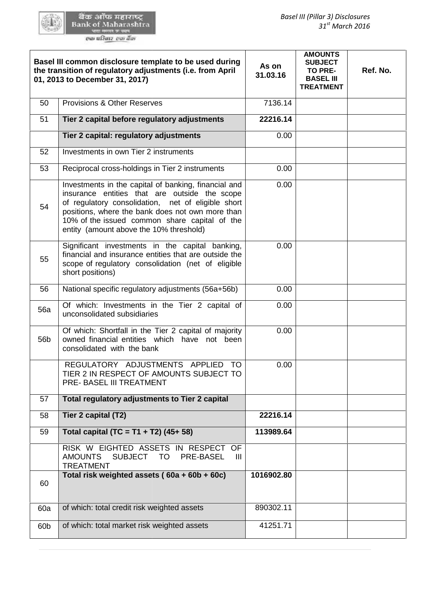| Basel III common disclosure template to be used during<br>the transition of regulatory adjustments (i.e. from April<br>01, 2013 to December 31, 2017)                                    |                                                                                                                                                                                                                                                                                                             | As on<br>31.03.16 | <b>AMOUNTS</b><br><b>SUBJECT</b><br>TO PRE-<br><b>BASEL III</b><br><b>TREATMENT</b> | Ref. No. |
|------------------------------------------------------------------------------------------------------------------------------------------------------------------------------------------|-------------------------------------------------------------------------------------------------------------------------------------------------------------------------------------------------------------------------------------------------------------------------------------------------------------|-------------------|-------------------------------------------------------------------------------------|----------|
| 50                                                                                                                                                                                       | <b>Provisions &amp; Other Reserves</b>                                                                                                                                                                                                                                                                      | 7136.14           |                                                                                     |          |
| 51                                                                                                                                                                                       | Tier 2 capital before regulatory adjustments                                                                                                                                                                                                                                                                | 22216.14          |                                                                                     |          |
|                                                                                                                                                                                          | Tier 2 capital: regulatory adjustments                                                                                                                                                                                                                                                                      | 0.00              |                                                                                     |          |
| 52                                                                                                                                                                                       | Investments in own Tier 2 instruments                                                                                                                                                                                                                                                                       |                   |                                                                                     |          |
| 53                                                                                                                                                                                       | Reciprocal cross-holdings in Tier 2 instruments                                                                                                                                                                                                                                                             | 0.00              |                                                                                     |          |
| 54                                                                                                                                                                                       | Investments in the capital of banking, financial and<br>insurance entities that are outside the scope<br>of regulatory consolidation, net of eligible short<br>positions, where the bank does not own more than<br>10% of the issued common share capital of the<br>entity (amount above the 10% threshold) |                   |                                                                                     |          |
| Significant investments in the capital banking,<br>financial and insurance entities that are outside the<br>55<br>scope of regulatory consolidation (net of eligible<br>short positions) |                                                                                                                                                                                                                                                                                                             | 0.00              |                                                                                     |          |
| 56                                                                                                                                                                                       | National specific regulatory adjustments (56a+56b)                                                                                                                                                                                                                                                          | 0.00              |                                                                                     |          |
| <b>56a</b>                                                                                                                                                                               | Of which: Investments in the Tier 2 capital of<br>unconsolidated subsidiaries                                                                                                                                                                                                                               | 0.00              |                                                                                     |          |
| 56b                                                                                                                                                                                      | Of which: Shortfall in the Tier 2 capital of majority<br>owned financial entities which have not been<br>consolidated with the bank                                                                                                                                                                         | 0.00              |                                                                                     |          |
|                                                                                                                                                                                          | REGULATORY ADJUSTMENTS APPLIED TO<br>TIER 2 IN RESPECT OF AMOUNTS SUBJECT TO<br>PRE- BASEL III TREATMENT                                                                                                                                                                                                    | 0.00              |                                                                                     |          |
| 57                                                                                                                                                                                       | Total regulatory adjustments to Tier 2 capital                                                                                                                                                                                                                                                              |                   |                                                                                     |          |
| 58                                                                                                                                                                                       | Tier 2 capital (T2)                                                                                                                                                                                                                                                                                         | 22216.14          |                                                                                     |          |
| 59                                                                                                                                                                                       | Total capital (TC = T1 + T2) (45+ 58)                                                                                                                                                                                                                                                                       | 113989.64         |                                                                                     |          |
|                                                                                                                                                                                          | RISK W EIGHTED ASSETS IN RESPECT OF<br>SUBJECT TO<br>PRE-BASEL<br>AMOUNTS<br>Ш<br><b>TREATMENT</b>                                                                                                                                                                                                          |                   |                                                                                     |          |
| 60                                                                                                                                                                                       | Total risk weighted assets (60a + 60b + 60c)                                                                                                                                                                                                                                                                | 1016902.80        |                                                                                     |          |
| 60a                                                                                                                                                                                      | of which: total credit risk weighted assets                                                                                                                                                                                                                                                                 | 890302.11         |                                                                                     |          |
| 60 <sub>b</sub>                                                                                                                                                                          | of which: total market risk weighted assets                                                                                                                                                                                                                                                                 | 41251.71          |                                                                                     |          |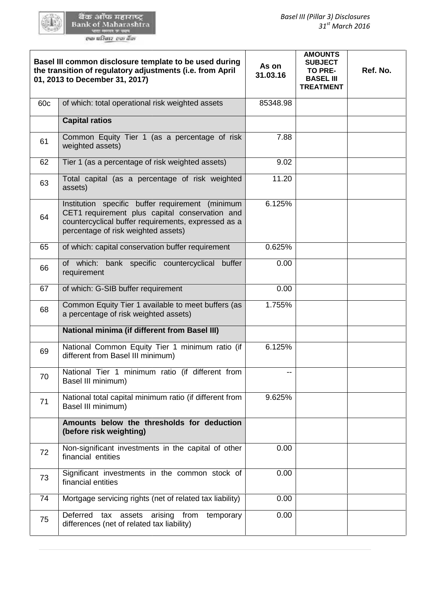|                                                                                                                                                                                                        | Basel III common disclosure template to be used during<br>the transition of regulatory adjustments (i.e. from April<br>01, 2013 to December 31, 2017) | As on<br>31.03.16 | <b>AMOUNTS</b><br><b>SUBJECT</b><br><b>TO PRE-</b><br><b>BASEL III</b><br><b>TREATMENT</b> | Ref. No. |
|--------------------------------------------------------------------------------------------------------------------------------------------------------------------------------------------------------|-------------------------------------------------------------------------------------------------------------------------------------------------------|-------------------|--------------------------------------------------------------------------------------------|----------|
| 60 <sub>c</sub>                                                                                                                                                                                        | of which: total operational risk weighted assets                                                                                                      | 85348.98          |                                                                                            |          |
|                                                                                                                                                                                                        | <b>Capital ratios</b>                                                                                                                                 |                   |                                                                                            |          |
| 61                                                                                                                                                                                                     | Common Equity Tier 1 (as a percentage of risk<br>weighted assets)                                                                                     | 7.88              |                                                                                            |          |
| 62                                                                                                                                                                                                     | Tier 1 (as a percentage of risk weighted assets)                                                                                                      | 9.02              |                                                                                            |          |
| 63                                                                                                                                                                                                     | Total capital (as a percentage of risk weighted<br>assets)                                                                                            | 11.20             |                                                                                            |          |
| Institution specific buffer requirement (minimum<br>CET1 requirement plus capital conservation and<br>64<br>countercyclical buffer requirements, expressed as a<br>percentage of risk weighted assets) |                                                                                                                                                       | 6.125%            |                                                                                            |          |
| 65                                                                                                                                                                                                     | of which: capital conservation buffer requirement                                                                                                     | 0.625%            |                                                                                            |          |
| 66                                                                                                                                                                                                     | of which: bank specific countercyclical<br>buffer<br>requirement                                                                                      | 0.00              |                                                                                            |          |
| 67                                                                                                                                                                                                     | of which: G-SIB buffer requirement                                                                                                                    | 0.00              |                                                                                            |          |
| 68                                                                                                                                                                                                     | Common Equity Tier 1 available to meet buffers (as<br>a percentage of risk weighted assets)                                                           | 1.755%            |                                                                                            |          |
|                                                                                                                                                                                                        | <b>National minima (if different from Basel III)</b>                                                                                                  |                   |                                                                                            |          |
| 69                                                                                                                                                                                                     | National Common Equity Tier 1 minimum ratio (if<br>different from Basel III minimum)                                                                  | 6.125%            |                                                                                            |          |
| 70                                                                                                                                                                                                     | National Tier 1 minimum ratio (if different from<br>Basel III minimum)                                                                                |                   |                                                                                            |          |
| 71                                                                                                                                                                                                     | National total capital minimum ratio (if different from<br>Basel III minimum)                                                                         | 9.625%            |                                                                                            |          |
|                                                                                                                                                                                                        | Amounts below the thresholds for deduction<br>(before risk weighting)                                                                                 |                   |                                                                                            |          |
| 72                                                                                                                                                                                                     | Non-significant investments in the capital of other<br>financial entities                                                                             | 0.00              |                                                                                            |          |
| 73                                                                                                                                                                                                     | Significant investments in the common stock of<br>financial entities                                                                                  | 0.00              |                                                                                            |          |
| 74                                                                                                                                                                                                     | Mortgage servicing rights (net of related tax liability)                                                                                              | 0.00              |                                                                                            |          |
| 75                                                                                                                                                                                                     | Deferred<br>from<br>assets<br>arising<br>temporary<br>tax<br>differences (net of related tax liability)                                               | 0.00              |                                                                                            |          |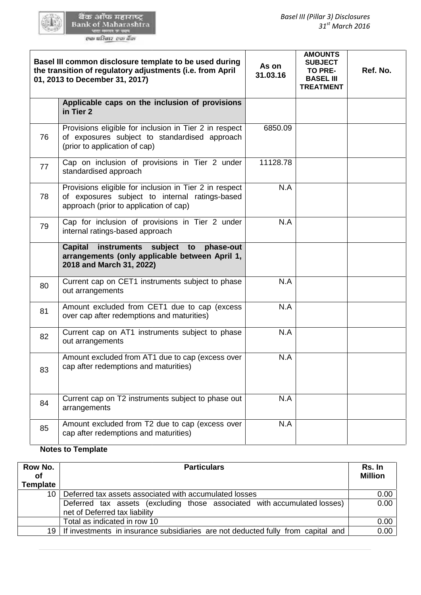|                                | Basel III common disclosure template to be used during<br>the transition of regulatory adjustments (i.e. from April<br>01, 2013 to December 31, 2017) | As on<br>31.03.16 | <b>AMOUNTS</b><br><b>SUBJECT</b><br>TO PRE-<br><b>BASEL III</b><br><b>TREATMENT</b> | Ref. No.                 |
|--------------------------------|-------------------------------------------------------------------------------------------------------------------------------------------------------|-------------------|-------------------------------------------------------------------------------------|--------------------------|
|                                | Applicable caps on the inclusion of provisions<br>in Tier 2                                                                                           |                   |                                                                                     |                          |
| 76                             | Provisions eligible for inclusion in Tier 2 in respect<br>of exposures subject to standardised approach<br>(prior to application of cap)              | 6850.09           |                                                                                     |                          |
| 77                             | Cap on inclusion of provisions in Tier 2 under<br>standardised approach                                                                               | 11128.78          |                                                                                     |                          |
| 78                             | Provisions eligible for inclusion in Tier 2 in respect<br>of exposures subject to internal ratings-based<br>approach (prior to application of cap)    | N.A               |                                                                                     |                          |
| 79                             | Cap for inclusion of provisions in Tier 2 under<br>internal ratings-based approach                                                                    | N.A               |                                                                                     |                          |
|                                | <b>Capital</b><br>instruments subject to<br>phase-out<br>arrangements (only applicable between April 1,<br>2018 and March 31, 2022)                   |                   |                                                                                     |                          |
| 80                             | Current cap on CET1 instruments subject to phase<br>out arrangements                                                                                  | N.A               |                                                                                     |                          |
| 81                             | Amount excluded from CET1 due to cap (excess<br>over cap after redemptions and maturities)                                                            | N.A               |                                                                                     |                          |
| 82                             | Current cap on AT1 instruments subject to phase<br>out arrangements                                                                                   | N.A               |                                                                                     |                          |
| 83                             | Amount excluded from AT1 due to cap (excess over<br>cap after redemptions and maturities)                                                             | N.A               |                                                                                     |                          |
| 84                             | Current cap on T2 instruments subject to phase out<br>arrangements                                                                                    | N.A               |                                                                                     |                          |
| 85                             | Amount excluded from T2 due to cap (excess over<br>cap after redemptions and maturities)                                                              | N.A               |                                                                                     |                          |
|                                | <b>Notes to Template</b>                                                                                                                              |                   |                                                                                     |                          |
| ow No.<br><b>of</b><br>emplate | <b>Particulars</b>                                                                                                                                    |                   |                                                                                     | Rs. In<br><b>Million</b> |
| 10 <sup>°</sup>                | Deferred tax assets associated with accumulated losses                                                                                                |                   | 0.00                                                                                |                          |
|                                | Deferred tax assets (excluding those associated with accumulated losses)<br>net of Deferred tax liability                                             |                   |                                                                                     | 0.00                     |
|                                | Total as indicated in row 10                                                                                                                          |                   |                                                                                     | 0.00                     |
| 19                             | If investments in insurance subsidiaries are not deducted fully from capital and                                                                      |                   |                                                                                     | 0.00                     |

# **Notes to Template**

| Row No.<br><b>of</b><br><b>Template</b> | <b>Particulars</b>                                                                                        |      |
|-----------------------------------------|-----------------------------------------------------------------------------------------------------------|------|
|                                         |                                                                                                           |      |
| 10 <sub>1</sub>                         | Deferred tax assets associated with accumulated losses                                                    | 0.00 |
|                                         | Deferred tax assets (excluding those associated with accumulated losses)<br>net of Deferred tax liability | 0.00 |
|                                         | Total as indicated in row 10                                                                              | 0.00 |
| 19                                      | If investments in insurance subsidiaries are not deducted fully from capital and                          | 0.00 |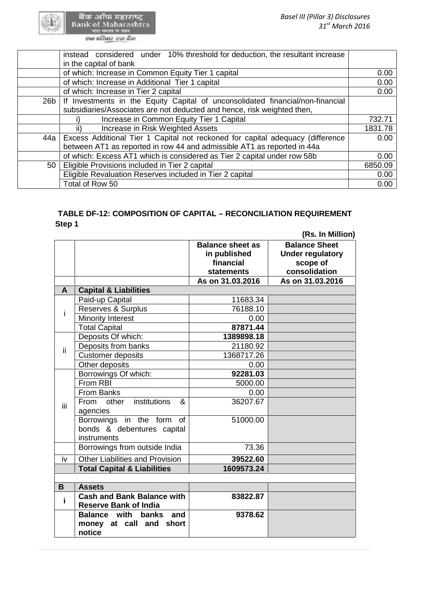बैंक ऑफ महाराष्ट्र<br>Bank of Maharashtra<br>का किताब कार्यक

|     | instead considered under 10% threshold for deduction, the resultant increase   |         |
|-----|--------------------------------------------------------------------------------|---------|
|     | in the capital of bank                                                         |         |
|     | of which: Increase in Common Equity Tier 1 capital                             | 0.00    |
|     | of which: Increase in Additional Tier 1 capital                                | 0.00    |
|     | of which: Increase in Tier 2 capital                                           | 0.00    |
| 26b | If Investments in the Equity Capital of unconsolidated financial/non-financial |         |
|     | subsidiaries/Associates are not deducted and hence, risk weighted then,        |         |
|     | Increase in Common Equity Tier 1 Capital                                       | 732.71  |
|     | Increase in Risk Weighted Assets<br>ii)                                        | 1831.78 |
| 44a | Excess Additional Tier 1 Capital not reckoned for capital adequacy (difference | 0.00    |
|     | between AT1 as reported in row 44 and admissible AT1 as reported in 44a        |         |
|     | of which: Excess AT1 which is considered as Tier 2 capital under row 58b       | 0.00    |
| 50  | Eligible Provisions included in Tier 2 capital                                 | 6850.09 |
|     | Eligible Revaluation Reserves included in Tier 2 capital                       | 0.00    |
|     | Total of Row 50                                                                | 0.00    |

# **TABLE DF-12: COMPOSITION OF CAPITAL – RECONCILIATION REQUIREMENT Step 1**

| Step 1 |                                                                          |                                                                           |                                                                                                  |
|--------|--------------------------------------------------------------------------|---------------------------------------------------------------------------|--------------------------------------------------------------------------------------------------|
|        |                                                                          | <b>Balance sheet as</b><br>in published<br>financial<br><b>statements</b> | (Rs. In Million)<br><b>Balance Sheet</b><br><b>Under regulatory</b><br>scope of<br>consolidation |
|        |                                                                          | As on 31.03.2016                                                          | As on 31.03.2016                                                                                 |
| A      | <b>Capital &amp; Liabilities</b>                                         |                                                                           |                                                                                                  |
|        | Paid-up Capital                                                          | 11683.34                                                                  |                                                                                                  |
| i      | Reserves & Surplus                                                       | 76188.10                                                                  |                                                                                                  |
|        | <b>Minority Interest</b>                                                 | 0.00                                                                      |                                                                                                  |
|        | <b>Total Capital</b>                                                     | 87871.44                                                                  |                                                                                                  |
|        | Deposits Of which:                                                       | 1389898.18                                                                |                                                                                                  |
| ii.    | Deposits from banks                                                      | 21180.92                                                                  |                                                                                                  |
|        | <b>Customer deposits</b>                                                 | 1368717.26                                                                |                                                                                                  |
|        | Other deposits                                                           | 0.00                                                                      |                                                                                                  |
|        | Borrowings Of which:                                                     | 92281.03                                                                  |                                                                                                  |
|        | From RBI                                                                 | 5000.00                                                                   |                                                                                                  |
|        | From Banks                                                               | 0.00                                                                      |                                                                                                  |
| iΪi    | institutions<br>&<br>From other<br>agencies                              | 36207.67                                                                  |                                                                                                  |
|        | Borrowings in the form of<br>bonds & debentures capital<br>instruments   | 51000.00                                                                  |                                                                                                  |
|        | Borrowings from outside India                                            | 73.36                                                                     |                                                                                                  |
| iv     | <b>Other Liabilities and Provision</b>                                   | 39522.60                                                                  |                                                                                                  |
|        | <b>Total Capital &amp; Liabilities</b>                                   | 1609573.24                                                                |                                                                                                  |
|        |                                                                          |                                                                           |                                                                                                  |
| B      | <b>Assets</b>                                                            |                                                                           |                                                                                                  |
| i      | <b>Cash and Bank Balance with</b><br><b>Reserve Bank of India</b>        | 83822.87                                                                  |                                                                                                  |
|        | <b>Balance</b> with<br>banks<br>and<br>money at call and short<br>notice | 9378.62                                                                   |                                                                                                  |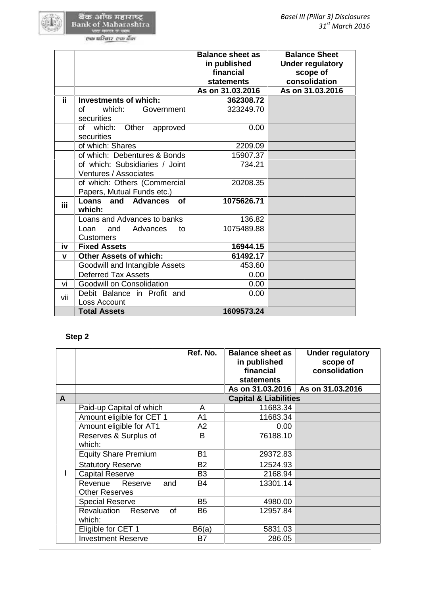|             |                                                            | <b>Balance sheet as</b><br>in published<br>financial<br>statements | <b>Balance Sheet</b><br><b>Under regulatory</b><br>scope of<br>consolidation |
|-------------|------------------------------------------------------------|--------------------------------------------------------------------|------------------------------------------------------------------------------|
|             |                                                            | As on 31.03.2016                                                   | As on 31.03.2016                                                             |
| ii.         | <b>Investments of which:</b>                               | 362308.72                                                          |                                                                              |
|             | $\sigma$ f<br>which:<br>Government<br>securities           | 323249.70                                                          |                                                                              |
|             | of which:<br>Other approved<br>securities                  | 0.00                                                               |                                                                              |
|             | of which: Shares                                           | 2209.09                                                            |                                                                              |
|             | of which: Debentures & Bonds                               | 15907.37                                                           |                                                                              |
|             | of which: Subsidiaries / Joint                             | 734.21                                                             |                                                                              |
|             | Ventures / Associates                                      |                                                                    |                                                                              |
|             | of which: Others (Commercial<br>Papers, Mutual Funds etc.) | 20208.35                                                           |                                                                              |
| iii         | <b>Loans and Advances</b><br><b>of</b><br>which:           | 1075626.71                                                         |                                                                              |
|             | Loans and Advances to banks                                | 136.82                                                             |                                                                              |
|             | and<br>Advances<br>Loan<br>to<br><b>Customers</b>          | 1075489.88                                                         |                                                                              |
| iv          | <b>Fixed Assets</b>                                        | 16944.15                                                           |                                                                              |
| $\mathbf v$ | <b>Other Assets of which:</b>                              | 61492.17                                                           |                                                                              |
|             | Goodwill and Intangible Assets                             | 453.60                                                             |                                                                              |
|             | <b>Deferred Tax Assets</b>                                 | 0.00                                                               |                                                                              |
| vi          | Goodwill on Consolidation                                  | 0.00                                                               |                                                                              |
| vii         | Debit Balance in Profit and<br>Loss Account                | 0.00                                                               |                                                                              |

# **Step 2**

Loss Account<br>Total Assets

|   | <b>Total Assets</b>                                |                | 1609573.24                                           |                                                      |
|---|----------------------------------------------------|----------------|------------------------------------------------------|------------------------------------------------------|
|   | Step 2                                             |                |                                                      |                                                      |
|   |                                                    | Ref. No.       | <b>Balance sheet as</b><br>in published<br>financial | <b>Under regulatory</b><br>scope of<br>consolidation |
|   |                                                    |                | <b>statements</b>                                    |                                                      |
|   |                                                    |                | As on 31.03.2016                                     | As on 31.03.2016                                     |
| A |                                                    |                | <b>Capital &amp; Liabilities</b>                     |                                                      |
|   | Paid-up Capital of which                           | A              | 11683.34                                             |                                                      |
|   | Amount eligible for CET 1                          | A1             | 11683.34                                             |                                                      |
|   | Amount eligible for AT1                            | A2             | 0.00                                                 |                                                      |
|   | Reserves & Surplus of<br>which:                    | B              | 76188.10                                             |                                                      |
|   | <b>Equity Share Premium</b>                        | <b>B1</b>      | 29372.83                                             |                                                      |
|   | <b>Statutory Reserve</b>                           | <b>B2</b>      | 12524.93                                             |                                                      |
|   | <b>Capital Reserve</b>                             | B <sub>3</sub> | 2168.94                                              |                                                      |
|   | Revenue<br>Reserve<br>and<br><b>Other Reserves</b> | <b>B4</b>      | 13301.14                                             |                                                      |
|   | <b>Special Reserve</b>                             | <b>B5</b>      | 4980.00                                              |                                                      |
|   | <b>Revaluation</b><br>οf<br>Reserve<br>which:      | <b>B6</b>      | 12957.84                                             |                                                      |
|   | Eligible for CET 1                                 | B6(a)          | 5831.03                                              |                                                      |
|   | <b>Investment Reserve</b>                          | <b>B7</b>      | 286.05                                               |                                                      |

**Total Assets 1609573.24**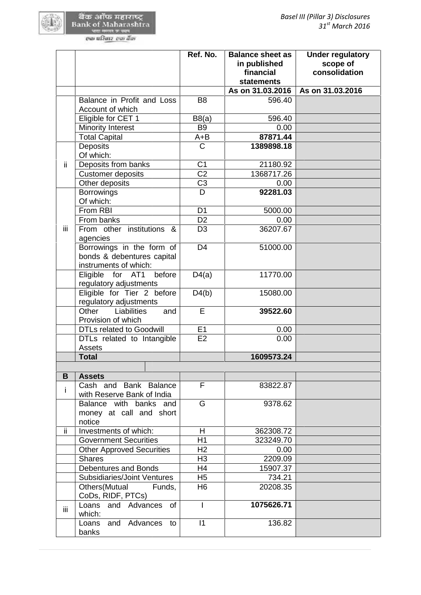|     |                                                                                  | Ref. No.       | <b>Balance sheet as</b><br>in published<br>financial<br><b>statements</b> | <b>Under regulatory</b><br>scope of<br>consolidation |
|-----|----------------------------------------------------------------------------------|----------------|---------------------------------------------------------------------------|------------------------------------------------------|
|     |                                                                                  |                | As on 31.03.2016                                                          | As on 31.03.2016                                     |
|     | Balance in Profit and Loss<br>Account of which                                   | B <sub>8</sub> | 596.40                                                                    |                                                      |
|     | Eligible for CET 1                                                               | B8(a)          | 596.40                                                                    |                                                      |
|     | <b>Minority Interest</b>                                                         | <b>B9</b>      | 0.00                                                                      |                                                      |
|     | <b>Total Capital</b>                                                             | $A + B$        | 87871.44                                                                  |                                                      |
|     | <b>Deposits</b><br>Of which:                                                     | $\mathsf{C}$   | 1389898.18                                                                |                                                      |
| ii. | Deposits from banks                                                              | C <sub>1</sub> | 21180.92                                                                  |                                                      |
|     | <b>Customer deposits</b>                                                         | C <sub>2</sub> | 1368717.26                                                                |                                                      |
|     | Other deposits                                                                   | C <sub>3</sub> | 0.00                                                                      |                                                      |
|     | <b>Borrowings</b><br>Of which:                                                   | D              | 92281.03                                                                  |                                                      |
|     | From RBI                                                                         | D <sub>1</sub> | 5000.00                                                                   |                                                      |
|     | From banks                                                                       | D <sub>2</sub> | 0.00                                                                      |                                                      |
| iii | From other institutions &<br>agencies                                            | D <sub>3</sub> | 36207.67                                                                  |                                                      |
|     | Borrowings in the form of<br>bonds & debentures capital<br>instruments of which: | D <sub>4</sub> | 51000.00                                                                  |                                                      |
|     | Eligible for AT1<br>before<br>regulatory adjustments                             | D4(a)          | 11770.00                                                                  |                                                      |
|     | Eligible for Tier 2 before<br>regulatory adjustments                             | D4(b)          | 15080.00                                                                  |                                                      |
|     | Other<br>Liabilities<br>and<br>Provision of which                                | E              | 39522.60                                                                  |                                                      |
|     | <b>DTLs related to Goodwill</b>                                                  | E1             | 0.00                                                                      |                                                      |
|     | DTLs related to Intangible<br>Assets                                             | E2             | 0.00                                                                      |                                                      |
|     | <b>Total</b>                                                                     |                | 1609573.24                                                                |                                                      |
|     |                                                                                  |                |                                                                           |                                                      |
| B   | <b>Assets</b>                                                                    |                |                                                                           |                                                      |
| i.  | Cash and Bank Balance<br>with Reserve Bank of India                              | F              | 83822.87                                                                  |                                                      |
|     | Balance with banks and<br>money at call and short<br>notice                      | G              | 9378.62                                                                   |                                                      |
| ii. | Investments of which:                                                            | H              | 362308.72                                                                 |                                                      |
|     | <b>Government Securities</b>                                                     | H1             | 323249.70                                                                 |                                                      |
|     | <b>Other Approved Securities</b>                                                 | H2             | 0.00                                                                      |                                                      |
|     | <b>Shares</b>                                                                    | H <sub>3</sub> | 2209.09                                                                   |                                                      |
|     | <b>Debentures and Bonds</b>                                                      | H <sub>4</sub> | 15907.37                                                                  |                                                      |
|     | <b>Subsidiaries/Joint Ventures</b>                                               | H <sub>5</sub> | 734.21                                                                    |                                                      |
|     | Others(Mutual<br>Funds,<br>CoDs, RIDF, PTCs)                                     | H <sub>6</sub> | 20208.35                                                                  |                                                      |
| iii | Loans and Advances<br><b>of</b><br>which:                                        | $\mathbf{I}$   | 1075626.71                                                                |                                                      |
|     | and Advances<br>Loans<br>to<br>banks                                             | $\vert$ 1      | 136.82                                                                    |                                                      |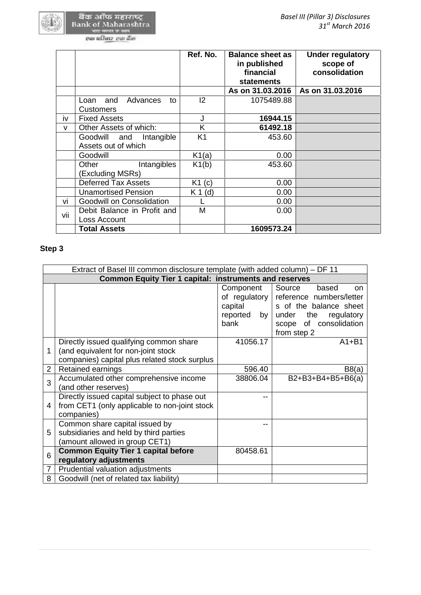|     |                                                      | Ref. No.       | <b>Balance sheet as</b><br>in published<br>financial<br><b>statements</b> | <b>Under regulatory</b><br>scope of<br>consolidation |
|-----|------------------------------------------------------|----------------|---------------------------------------------------------------------------|------------------------------------------------------|
|     |                                                      |                | As on 31.03.2016                                                          | As on 31.03.2016                                     |
|     | Advances<br>Loan<br>and<br>to<br><b>Customers</b>    | 2              | 1075489.88                                                                |                                                      |
| iv  | <b>Fixed Assets</b>                                  | J              | 16944.15                                                                  |                                                      |
| v   | Other Assets of which:                               | K              | 61492.18                                                                  |                                                      |
|     | Intangible<br>Goodwill<br>and<br>Assets out of which | K <sub>1</sub> | 453.60                                                                    |                                                      |
|     | Goodwill                                             | K1(a)          | 0.00                                                                      |                                                      |
|     | Other<br>Intangibles<br>(Excluding MSRs)             | K1(b)          | 453.60                                                                    |                                                      |
|     | <b>Deferred Tax Assets</b>                           | K1(c)          | 0.00                                                                      |                                                      |
|     | <b>Unamortised Pension</b>                           | $K 1$ (d)      | 0.00                                                                      |                                                      |
| vi  | <b>Goodwill on Consolidation</b>                     |                | 0.00                                                                      |                                                      |
| vii | Debit Balance in Profit and<br>Loss Account          | Μ              | 0.00                                                                      |                                                      |
|     | <b>Total Assets</b>                                  |                | 1609573.24                                                                |                                                      |

# **Step 3**

|                | Extract of Basel III common disclosure template (with added column) – DF 11                                                     |                                                                         |                                                                                                                                                            |
|----------------|---------------------------------------------------------------------------------------------------------------------------------|-------------------------------------------------------------------------|------------------------------------------------------------------------------------------------------------------------------------------------------------|
|                | <b>Common Equity Tier 1 capital: instruments and reserves</b>                                                                   |                                                                         |                                                                                                                                                            |
|                |                                                                                                                                 | Component<br>of regulatory $\vert$<br>capital<br>reported<br>by<br>bank | Source<br>based<br><sub>on</sub><br>reference numbers/letter<br>s of the balance sheet<br>under the<br>regulatory<br>scope of consolidation<br>from step 2 |
| 1              | Directly issued qualifying common share<br>(and equivalent for non-joint stock<br>companies) capital plus related stock surplus | 41056.17                                                                | $A1 + B1$                                                                                                                                                  |
| $\overline{2}$ | Retained earnings                                                                                                               | 596.40                                                                  | B8(a)                                                                                                                                                      |
| 3              | Accumulated other comprehensive income<br>(and other reserves)                                                                  | 38806.04                                                                | B2+B3+B4+B5+B6(a)                                                                                                                                          |
| 4              | Directly issued capital subject to phase out<br>from CET1 (only applicable to non-joint stock)<br>companies)                    |                                                                         |                                                                                                                                                            |
| 5              | Common share capital issued by<br>subsidiaries and held by third parties<br>(amount allowed in group CET1)                      |                                                                         |                                                                                                                                                            |
| 6              | <b>Common Equity Tier 1 capital before</b><br>regulatory adjustments                                                            | 80458.61                                                                |                                                                                                                                                            |
| $\overline{7}$ | Prudential valuation adjustments                                                                                                |                                                                         |                                                                                                                                                            |
| 8              | Goodwill (net of related tax liability)                                                                                         |                                                                         |                                                                                                                                                            |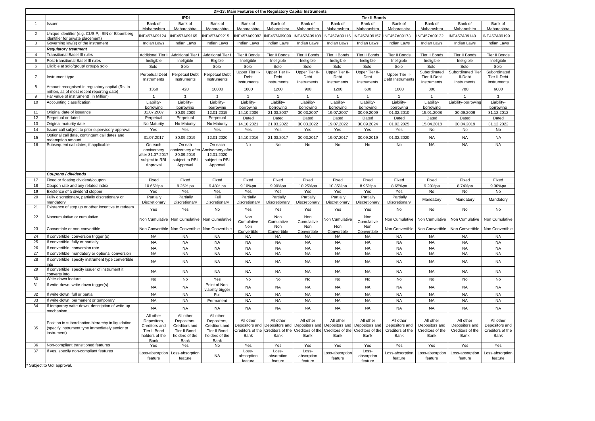|                |                                                                                                                     |                                                                                            |                                                                                            |                                                                                            | DF-13: Main Features of the Regulatory Capital Instruments |                                                    |                                       |                                                                                                                                                                                         |                                              |                                                         |                                                         |                                                         |                                                         |
|----------------|---------------------------------------------------------------------------------------------------------------------|--------------------------------------------------------------------------------------------|--------------------------------------------------------------------------------------------|--------------------------------------------------------------------------------------------|------------------------------------------------------------|----------------------------------------------------|---------------------------------------|-----------------------------------------------------------------------------------------------------------------------------------------------------------------------------------------|----------------------------------------------|---------------------------------------------------------|---------------------------------------------------------|---------------------------------------------------------|---------------------------------------------------------|
|                |                                                                                                                     |                                                                                            | <b>IPDI</b>                                                                                |                                                                                            |                                                            |                                                    |                                       |                                                                                                                                                                                         | <b>Tier II Bonds</b>                         |                                                         |                                                         |                                                         |                                                         |
| - 1            | Issuer                                                                                                              | Bank of<br>Maharashtra                                                                     | Bank of<br>Maharashtra                                                                     | Bank of<br>Maharashtra                                                                     | Bank of<br>Maharashtra                                     | Bank of<br>Maharashtra                             | Bank of<br>Maharashtra                | Bank of<br>Maharashtra                                                                                                                                                                  | Bank of<br>Maharashtra                       | Bank of<br>Maharashtra                                  | Bank of<br>Maharashtra                                  | Bank of<br>Maharashtra                                  | Bank of<br>Maharashtra                                  |
| $\overline{2}$ | Unique identifier (e.g. CUSIP, ISIN or Bloomberg<br>identifier for private placement)                               | INE457A09124                                                                               | INE457A09165                                                                               | INE457A09215                                                                               | NE457A09082                                                | INE457A09090                                       | INE457A09108                          | INE457A09116                                                                                                                                                                            | INE457A09157                                 | INE457A09173                                            | NE457A09132                                             | NE457A09140                                             | INE457A09199                                            |
| -3             | Governing law(s) of the instrument<br><b>Regulatory treatment</b>                                                   | <b>Indian Laws</b>                                                                         | <b>Indian Laws</b>                                                                         | <b>Indian Laws</b>                                                                         | <b>Indian Laws</b>                                         | Indian Laws                                        | Indian Laws                           | <b>Indian Laws</b>                                                                                                                                                                      | Indian Laws                                  | <b>Indian Laws</b>                                      | Indian Laws                                             | <b>Indian Laws</b>                                      | <b>Indian Laws</b>                                      |
|                | <b>Transitional Basel III rules</b>                                                                                 | <b>Additional Tier</b>                                                                     | <b>Additional Tier</b>                                                                     | <b>Additional Tier</b>                                                                     | Tier II Bonds                                              | Tier II Bonds                                      | Tier II Bonds                         | Tier II Bonds                                                                                                                                                                           | Tier II Bonds                                | Tier II Bonds                                           | Tier II Bonds                                           | Tier II Bonds                                           | Tier II Bonds                                           |
| -5             | Post-transitional Basel III rules                                                                                   | Ineligible                                                                                 | Ineligible                                                                                 | Eligible                                                                                   | Ineligible                                                 | Ineligible                                         | Ineligible                            | Ineligible                                                                                                                                                                              | Ineligible                                   | Ineligible                                              | Ineligible                                              | Ineligible                                              | Ineligible                                              |
| -6             | Eligible at solo/group/ group& solo                                                                                 | Solo                                                                                       | Solo                                                                                       | Solo                                                                                       | Solo                                                       | Solo                                               | Solo                                  | Solo                                                                                                                                                                                    | Solo                                         | Solo                                                    | Solo                                                    | Solo                                                    | Solo                                                    |
|                | nstrument type                                                                                                      | <b>Perpetual Debt</b><br>Instruments                                                       | <b>Perpetual Debt</b><br>Instruments                                                       | Perpetual Debt<br>Instruments                                                              | Upper Tier II-<br>Debt<br><b>Instruments</b>               | <b>Upper Tier II</b><br>Debt<br><b>Instruments</b> | Upper Tier II-<br>Debt<br>Instruments | Upper Tier II-<br>Debt<br><b>Instruments</b>                                                                                                                                            | Upper Tier II-<br>Debt<br><b>Instruments</b> | Upper Tier II-<br>Debt Instruments                      | Subordinated<br>Tier II-Debt<br><b>Instruments</b>      | Subordinated Tier<br>II-Debt<br><b>Instruments</b>      | Subordinated<br>Tier II-Debt<br><b>Instruments</b>      |
| -8             | Amount recognised in regulatory capital (Rs. in<br>million, as of most recent reporting date)                       | 1350                                                                                       | 420                                                                                        | 10000                                                                                      | 1800                                                       | 1200                                               | 900                                   | 1200                                                                                                                                                                                    | 600                                          | 1800                                                    | 800                                                     | 780                                                     | 6000                                                    |
| -9             | Par value of instrument(` in Million)                                                                               |                                                                                            |                                                                                            |                                                                                            | $\overline{1}$                                             |                                                    |                                       |                                                                                                                                                                                         |                                              |                                                         |                                                         |                                                         | $\overline{1}$                                          |
| 10             | Accounting classification                                                                                           | Liability-<br>borrowing                                                                    | Liability-<br>borrowing                                                                    | Liability-<br>borrowing                                                                    | Liability-<br>borrowing                                    | Liability-<br>borrowing                            | Liability-<br>borrowing               | Liability-<br>borrowing                                                                                                                                                                 | Liability-<br>borrowing                      | Liability-<br>borrowing                                 | Liability-<br>borrowing                                 | Liability-borrowing                                     | Liability-<br>borrowing                                 |
| 11             | Original date of issuance                                                                                           | 31.07.2007                                                                                 | 30.09.2009                                                                                 | 12.01.2015                                                                                 | 14.10.2006                                                 | 21.03.2007                                         | 30.03.2007                            | 19.07.2007                                                                                                                                                                              | 30.09.2009                                   | 01.02.2010                                              | 15.01.2008                                              | 30.09.2009                                              | 31.12.2012                                              |
| 12             | Perpetual or dated                                                                                                  | Perpetual                                                                                  | Perpetual                                                                                  | Perpetual                                                                                  | Dated                                                      | Dated                                              | Dated                                 | Dated                                                                                                                                                                                   | Dated                                        | Dated                                                   | Dated                                                   | Dated                                                   | Dated                                                   |
| 13             | Original maturity date                                                                                              | No Maturity                                                                                | No Maturity                                                                                | No Maturity                                                                                | 14.10.2021                                                 | 21.03.2022                                         | 30.03.2022                            | 19.07.2022                                                                                                                                                                              | 30.09.2024                                   | 01.02.2025                                              | 15.04.2018                                              | 30.04.2019                                              | 31.12.2022                                              |
| 14             | Issuer call subject to prior supervisory approval                                                                   | Yes                                                                                        | Yes                                                                                        | Yes                                                                                        | Yes                                                        | Yes                                                | Yes                                   | Yes                                                                                                                                                                                     | Yes                                          | Yes                                                     | No                                                      | No                                                      | No                                                      |
| 15             | Optional call date, contingent call dates and<br>redemption amount                                                  | 31.07.2017                                                                                 | 30.09.2019                                                                                 | 12.01.2020                                                                                 | 14.10.2016                                                 | 21.03.2017                                         | 30.03.2017                            | 19.07.2017                                                                                                                                                                              | 30.09.2019                                   | 01.02.2020                                              | <b>NA</b>                                               | <b>NA</b>                                               | <b>NA</b>                                               |
| 16             | Subsequent call dates, if applicable                                                                                | On each<br>anniversery<br>after 31.07.2017<br>subject to RBI<br>Approval                   | On eah<br>anniversery after<br>30.09.2019<br>subject to RBI<br>Approval                    | On each<br>Anniversery after<br>12.01.2020<br>subject to RBI<br>Approval                   | No                                                         | No                                                 | No                                    | No                                                                                                                                                                                      | No                                           | No                                                      | <b>NA</b>                                               | <b>NA</b>                                               | <b>NA</b>                                               |
|                | Coupons / dividends                                                                                                 |                                                                                            |                                                                                            |                                                                                            |                                                            |                                                    |                                       |                                                                                                                                                                                         |                                              |                                                         |                                                         |                                                         |                                                         |
| 17             | Fixed or floating dividend/coupon                                                                                   | Fixed                                                                                      | Fixed                                                                                      | Fixed                                                                                      | Fixed                                                      | Fixed                                              | Fixed                                 | Fixed                                                                                                                                                                                   | Fixed                                        | Fixed                                                   | Fixed                                                   | Fixed                                                   | Fixed                                                   |
| 18             | Coupon rate and any related index                                                                                   | 10.65%pa                                                                                   | 9.25% pa                                                                                   | 9.48% pa                                                                                   | 9.10%pa                                                    | 9.90%pa                                            | 10.25%pa                              | 10.35%pa                                                                                                                                                                                | 8.95%pa                                      | 8.65%pa                                                 | 9.20%pa                                                 | 8.74%pa                                                 | 9.00%pa                                                 |
| 19             | Existence of a dividend stopper                                                                                     | Yes                                                                                        | Yes                                                                                        | Yes                                                                                        | Yes                                                        | Yes                                                | Yes                                   | Yes                                                                                                                                                                                     | Yes                                          | Yes                                                     | No                                                      | No                                                      | No                                                      |
| 20             | Fully discretionary, partially discretionary or<br>nandatory                                                        | Partially<br>Discretionary                                                                 | Partially<br>Discretionary                                                                 | Full<br>Discretionary                                                                      | Partially<br>Discretionary                                 | Partially<br>Discretionary                         | Partially<br>Discretionary            | Partially<br>Discretionary                                                                                                                                                              | Partially<br>Discretionary                   | Partially<br>Discretionary                              | Mandatory                                               | Mandatory                                               | Mandatory                                               |
| 21             | Existence of step up or other incentive to redeem                                                                   | Yes                                                                                        | Yes                                                                                        | No                                                                                         | Yes                                                        | Yes                                                | Yes                                   | Yes                                                                                                                                                                                     | Yes                                          | No                                                      | No                                                      | No                                                      | No                                                      |
| 22             | Noncumulative or cumulative                                                                                         |                                                                                            | Non Cumulative   Non Cumulative   Non Cumulative                                           |                                                                                            | Non<br>Cumulative                                          | Non<br>Cumulative                                  | Non<br>Cumulative                     | Non Cumulative                                                                                                                                                                          | <b>Non</b><br>Cumulative                     | Non Cumulative                                          | Non Cumulative                                          | Non Cumulative                                          | Non Cumulative                                          |
| 23             | Convertible or non-convertible                                                                                      |                                                                                            |                                                                                            | Non Convertible   Non Convertible   Non Convertible                                        | Non<br>Convertible                                         | Non<br>Convertible                                 | Non<br>Convertible                    | Non<br>Convertible                                                                                                                                                                      | Non<br>Convertible                           | Non Convertible                                         |                                                         | Non Convertible   Non Convertible                       | Non Convertible                                         |
| 24             | If convertible, conversion trigger (s)                                                                              | <b>NA</b>                                                                                  | <b>NA</b>                                                                                  | <b>NA</b>                                                                                  | <b>NA</b>                                                  | <b>NA</b>                                          | <b>NA</b>                             | <b>NA</b>                                                                                                                                                                               | NA                                           | <b>NA</b>                                               | <b>NA</b>                                               | <b>NA</b>                                               | <b>NA</b>                                               |
| 25             | If convertible, fully or partially                                                                                  | <b>NA</b>                                                                                  | <b>NA</b>                                                                                  | <b>NA</b>                                                                                  | <b>NA</b>                                                  | <b>NA</b>                                          | <b>NA</b>                             | <b>NA</b>                                                                                                                                                                               | <b>NA</b>                                    | <b>NA</b>                                               | <b>NA</b>                                               | <b>NA</b>                                               | <b>NA</b>                                               |
| 26             | If convertible, conversion rate                                                                                     | <b>NA</b>                                                                                  | <b>NA</b>                                                                                  | <b>NA</b>                                                                                  | <b>NA</b>                                                  | <b>NA</b>                                          | $\sf NA$                              | <b>NA</b>                                                                                                                                                                               | <b>NA</b>                                    | <b>NA</b>                                               | <b>NA</b>                                               | <b>NA</b>                                               | <b>NA</b>                                               |
| 27             | If convertible, mandatory or optional conversion                                                                    | <b>NA</b>                                                                                  | <b>NA</b>                                                                                  | <b>NA</b>                                                                                  | <b>NA</b>                                                  | <b>NA</b>                                          | <b>NA</b>                             | <b>NA</b>                                                                                                                                                                               | <b>NA</b>                                    | <b>NA</b>                                               | <b>NA</b>                                               | <b>NA</b>                                               | <b>NA</b>                                               |
| 28             | If convertible, specify instrument type convertible<br>nto                                                          | <b>NA</b>                                                                                  | <b>NA</b>                                                                                  | <b>NA</b>                                                                                  | NA                                                         | <b>NA</b>                                          | NA                                    | <b>NA</b>                                                                                                                                                                               | NA                                           | <b>NA</b>                                               | <b>NA</b>                                               | <b>NA</b>                                               | <b>NA</b>                                               |
| 29             | If convertible, specify issuer of instrument it<br>converts into                                                    | <b>NA</b>                                                                                  | <b>NA</b>                                                                                  | <b>NA</b>                                                                                  | NA                                                         | <b>NA</b>                                          | <b>NA</b>                             | <b>NA</b>                                                                                                                                                                               | <b>NA</b>                                    | <b>NA</b>                                               | <b>NA</b>                                               | <b>NA</b>                                               | <b>NA</b>                                               |
| 30             | Write-down feature                                                                                                  | No                                                                                         | No                                                                                         | Yes                                                                                        | No                                                         | No                                                 | No                                    | No                                                                                                                                                                                      | No                                           | No                                                      | No                                                      | No                                                      | No                                                      |
| 31             | If write-down, write-down trigger(s)                                                                                | <b>NA</b>                                                                                  | <b>NA</b>                                                                                  | Point of Non-<br>viability trigger                                                         | <b>NA</b>                                                  | <b>NA</b>                                          | NA                                    | <b>NA</b>                                                                                                                                                                               | <b>NA</b>                                    | <b>NA</b>                                               | <b>NA</b>                                               | <b>NA</b>                                               | NA.                                                     |
| 32             | If write-down, full or partial                                                                                      | <b>NA</b>                                                                                  | <b>NA</b>                                                                                  | Full                                                                                       | <b>NA</b>                                                  | <b>NA</b>                                          | <b>NA</b>                             | <b>NA</b>                                                                                                                                                                               | <b>NA</b>                                    | <b>NA</b>                                               | <b>NA</b>                                               | <b>NA</b>                                               | <b>NA</b>                                               |
| 33             | If write-down, permanent or temporary                                                                               | <b>NA</b>                                                                                  | <b>NA</b>                                                                                  | Permanent                                                                                  | <b>NA</b>                                                  | <b>NA</b>                                          | <b>NA</b>                             | <b>NA</b>                                                                                                                                                                               | <b>NA</b>                                    | <b>NA</b>                                               | <b>NA</b>                                               | <b>NA</b>                                               | <b>NA</b>                                               |
| 34             | If temporary write-down, description of write-up<br>mechanism                                                       | <b>NA</b>                                                                                  | <b>NA</b>                                                                                  | <b>NA</b>                                                                                  | NA                                                         | <b>NA</b>                                          | NA                                    | <b>NA</b>                                                                                                                                                                               | <b>NA</b>                                    | <b>NA</b>                                               | NA                                                      | <b>NA</b>                                               | <b>NA</b>                                               |
| 35             | Position in subordination hierarchy in liquidation<br>(specify instrument type immediately senior to<br>instrument) | All other<br>Depositors,<br>Creditors and<br>Tier II Bond<br>holders of the<br><b>Bank</b> | All other<br>Depositors,<br>Creditors and<br>Tier II Bond<br>holders of the<br><b>Bank</b> | All other<br>Depositors,<br>Creditors and<br>Tier II Bond<br>holders of the<br><b>Bank</b> | All other<br>Bank                                          | All other<br>Bank                                  | All other<br>Bank                     | All other<br>Depositors and Depositors and Depositors and Depositors and Depositors and<br>Creditors of the Creditors of the Creditors of the Creditors of the Creditors of the<br>Bank | All other<br>Bank                            | All other<br>Depositors and<br>Creditors of the<br>Bank | All other<br>Depositors and<br>Creditors of the<br>Bank | All other<br>Depositors and<br>Creditors of the<br>Bank | All other<br>Depositors and<br>Creditors of the<br>Bank |
| 36             | Non-compliant transitioned features                                                                                 | Yes                                                                                        | Yes                                                                                        | No                                                                                         | Yes                                                        | Yes                                                | Yes                                   | Yes                                                                                                                                                                                     | Yes                                          | Yes                                                     | Yes                                                     | Yes                                                     | Yes                                                     |
| 37             | If yes, specify non-compliant features                                                                              | Loss-absorption<br>feature                                                                 | Loss-absorption<br>feature                                                                 | <b>NA</b>                                                                                  | Loss-<br>absorption<br>feature                             | Loss-<br>absorption<br>feature                     | Loss-<br>absorption<br>feature        | Loss-absorption<br>feature                                                                                                                                                              | Loss-<br>absorption<br>feature               | Loss-absorption<br>feature                              | Loss-absorption<br>feature                              | Loss-absorption<br>feature                              | Loss-absorption<br>feature                              |
|                |                                                                                                                     |                                                                                            |                                                                                            |                                                                                            |                                                            |                                                    |                                       |                                                                                                                                                                                         |                                              |                                                         |                                                         |                                                         |                                                         |

\* Subject to GoI approval.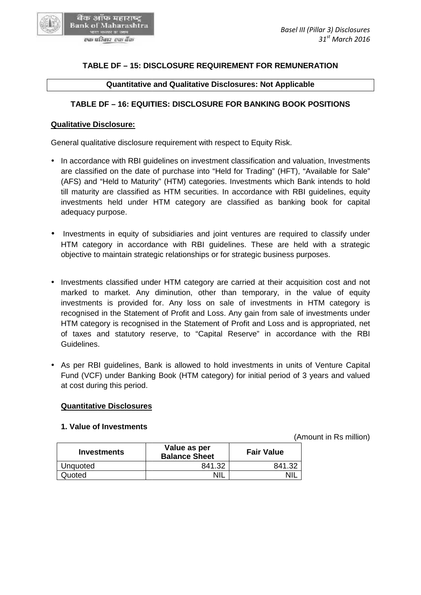# **TABLE DF – 15: DISCLOSURE REQUIREMENT FOR REMUNERATION –**

**Quantitative and Qualitative Disclosures: Not Applicable**

## **TABLE DF – 16: EQUITIES: DISCLOSURE FOR BANKING BOOK POSITIONS – BOOK POSITIONS**

#### **Qualitative Disclosure:**

बैंक ऑफ महाराष्ट् **Bank of Maharashtra** एक परिवार-एक बैंक

General qualitative disclosure requirement with respect to Equity Risk.

- In accordance with RBI guidelines on investment classification and valuation, Investments In accordance with RBI guidelines on investment classification and valuation, Investments<br>"are classified on the date of purchase into "Held for Trading" (HFT), "Available for Sale" (AFS) and "Held to Maturity" (HTM) categories. Investments which Bank intends to hold till maturity are classified as HTM securities. In accordance with RBI guidelines, equity investments held under HTM category are classified as banking book for capital adequacy purpose. "Held to Maturity" (HTM) categories. Investments which Bank intends to hold<br>are classified as HTM securities. In accordance with RBI guidelines, equity<br>s held under HTM category are classified as banking book for capital
- Investments in equity of subsidiaries and joint ventures are required to classify under HTM category in accordance with RBI guidelines. These are held with a strategic objective to maintain strategic relationships or for strategic business purposes. business
- Investments classified under HTM category are carried at their acquisition cost and not • Investments classified under HTM category are carried at their acquisition cost and not<br>marked to market. Any diminution, other than temporary, in the value of equity investments is provided for. Any loss on sale of investments in HTM category is recognised in the Statement of Profit and Loss. Any gain from sale of investments under HTM category is recognised in the Statement of Profit and Loss and is appropriated, net of taxes and statutory reserve, to "Capital Reserve" in accordance with the RBI Guidelines. investments is provided for. Any loss on sale of investments in HTM category is<br>recognised in the Statement of Profit and Loss. Any gain from sale of investments under<br>HTM category is recognised in the Statement of Profit
- As per RBI guidelines, Bank is allowed to hold investments in units of Venture Capital Fund (VCF) under Banking Book (HTM category) for initial period of 3 years and valued at cost during this period. Fund (VCF) under Banking Book (HTM category) for initial period of 3 years and valued at cost during this period.

### **Quantitative Disclosures**

## **1. Value of Investments**

(Amount in Rs million)

| of taxes and statutory reserve, to "Capital Reserve" in accordance wi<br>Guidelines.                                                                                                    |                                      |                   |            |
|-----------------------------------------------------------------------------------------------------------------------------------------------------------------------------------------|--------------------------------------|-------------------|------------|
| As per RBI guidelines, Bank is allowed to hold investments in units of Ven<br>Fund (VCF) under Banking Book (HTM category) for initial period of 3 years<br>at cost during this period. |                                      |                   |            |
| <b>Quantitative Disclosures</b>                                                                                                                                                         |                                      |                   |            |
| 1. Value of Investments                                                                                                                                                                 |                                      |                   | (Amount in |
| <b>Investments</b>                                                                                                                                                                      | Value as per<br><b>Balance Sheet</b> | <b>Fair Value</b> |            |
| Unquoted                                                                                                                                                                                | 841.32                               | 841.32            |            |
| Quoted                                                                                                                                                                                  | <b>NIL</b>                           | <b>NIL</b>        |            |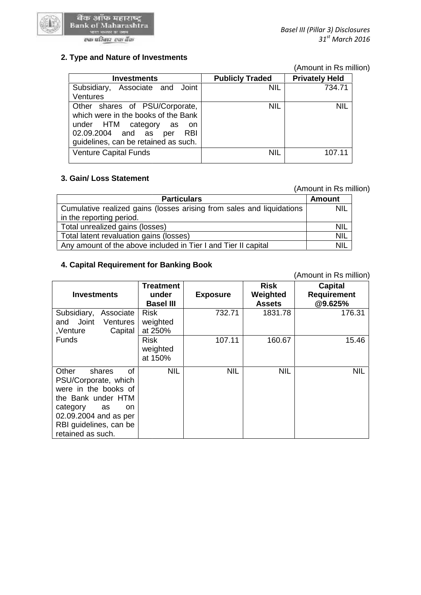

## **2. Type and Nature of Investments 2. Type**

|                                                                                                                                                                                         |                        | (Amount in Rs million) |
|-----------------------------------------------------------------------------------------------------------------------------------------------------------------------------------------|------------------------|------------------------|
| <b>Investments</b>                                                                                                                                                                      | <b>Publicly Traded</b> | <b>Privately Held</b>  |
| Subsidiary, Associate and Joint<br>Ventures                                                                                                                                             | <b>NIL</b>             | 734.71                 |
| Other shares of PSU/Corporate,<br>which were in the books of the Bank<br>under HTM category as<br>.on<br>02.09.2004 and as<br><b>RBI</b><br>per<br>guidelines, can be retained as such. | <b>NIL</b>             | <b>NIL</b>             |
| <b>Venture Capital Funds</b>                                                                                                                                                            | <b>NIL</b>             | 107.11                 |

# **3. Gain/ Loss Statement 3.**

#### (Amount in Rs million)

|                                                                       | (Amount in Rs million) |  |
|-----------------------------------------------------------------------|------------------------|--|
| <b>Particulars</b>                                                    | <b>Amount</b>          |  |
| Cumulative realized gains (losses arising from sales and liquidations | <b>NIL</b>             |  |
| in the reporting period.                                              |                        |  |
| Total unrealized gains (losses)                                       | <b>NIL</b>             |  |
| Total latent revaluation gains (losses)                               | <b>NIL</b>             |  |
| Any amount of the above included in Tier I and Tier II capital        | <b>NIL</b>             |  |

### **4. Capital Requirement for Banking Book 4. Capital Requirement**

|                                                                | Cumulative realized gains (losses arising from sales and liquidations |                 |               |                        |  |  |
|----------------------------------------------------------------|-----------------------------------------------------------------------|-----------------|---------------|------------------------|--|--|
| in the reporting period.                                       |                                                                       |                 |               |                        |  |  |
| Total unrealized gains (losses)                                |                                                                       |                 |               | <b>NIL</b>             |  |  |
| Total latent revaluation gains (losses)                        |                                                                       |                 |               | <b>NIL</b>             |  |  |
| Any amount of the above included in Tier I and Tier II capital |                                                                       |                 |               | NIL                    |  |  |
|                                                                |                                                                       |                 |               |                        |  |  |
| 4. Capital Requirement for Banking Book                        |                                                                       |                 |               |                        |  |  |
|                                                                |                                                                       |                 |               | (Amount in Rs million) |  |  |
|                                                                | <b>Treatment</b>                                                      |                 | <b>Risk</b>   | <b>Capital</b>         |  |  |
| <b>Investments</b>                                             | under                                                                 | <b>Exposure</b> | Weighted      | <b>Requirement</b>     |  |  |
|                                                                | <b>Basel III</b>                                                      |                 | <b>Assets</b> | @9.625%                |  |  |
| Subsidiary,<br>Associate                                       | <b>Risk</b>                                                           | 732.71          | 1831.78       | 176.31                 |  |  |
| Joint<br>and<br>Ventures                                       | weighted                                                              |                 |               |                        |  |  |
| Capital<br>,Venture                                            | at 250%                                                               |                 |               |                        |  |  |
| <b>Funds</b>                                                   | <b>Risk</b>                                                           | 107.11          | 160.67        | 15.46                  |  |  |
|                                                                | weighted                                                              |                 |               |                        |  |  |
|                                                                | at 150%                                                               |                 |               |                        |  |  |
| Other<br>of<br>shares                                          | <b>NIL</b>                                                            | <b>NIL</b>      | <b>NIL</b>    | <b>NIL</b>             |  |  |
| PSU/Corporate, which                                           |                                                                       |                 |               |                        |  |  |
| were in the books of                                           |                                                                       |                 |               |                        |  |  |
| the Bank under HTM                                             |                                                                       |                 |               |                        |  |  |
| category<br>as<br>on                                           |                                                                       |                 |               |                        |  |  |
| 02.09.2004 and as per                                          |                                                                       |                 |               |                        |  |  |
| RBI guidelines, can be                                         |                                                                       |                 |               |                        |  |  |
| retained as such.                                              |                                                                       |                 |               |                        |  |  |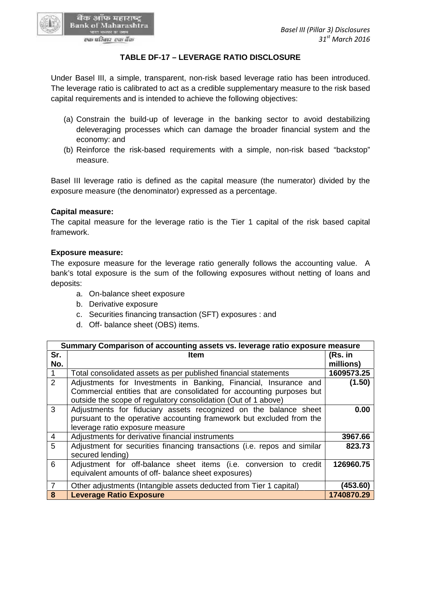#### **TABLE DF-17 – LEVERAGE RATIO DISCLOSURE**

Under Basel III, a simple, transparent, non-risk based leverage ratio has been introduced. Under Basel III, a simple, transparent, non-risk based leverage ratio has been introduced.<br>The leverage ratio is calibrated to act as a credible supplementary measure to the risk based capital requirements and is intended to achieve the following objectives:

- (a) Constrain the build-up of leverage in the banking sector to avoid destabilizing Constrain the build-up of leverage in the banking sector to avoid destabilizing<br>deleveraging processes which can damage the broader financial system and the economy: and
- (b) Reinforce the risk-based requirements with a simple, non-risk based "backstop" measure.

Basel III leverage ratio is defined as the capital measure (the numerator) divided by the exposure measure (the denominator) expressed as a percentage. (b) Reinforce the risk-based requirements with a simple, non-risk based "backstop"<br>measure.<br>Basel III leverage ratio is defined as the capital measure (the numerator) divided by the<br>exposure measure (the denominator) expre

#### **Capital measure:**

बैंक ऑफ महाराष्ट् **Bank of Maharashtra** एक परिवार-एक बैंक

#### **Exposure measure:**

- a. On-balance sheet exposure
- b. Derivative exposure
- c. Securities financing transaction (SFT) exposures : and<br>d. Off- balance sheet (OBS) items.
- d. Off- balance sheet (OBS) items.

|                | Basel III leverage ratio is defined as the capital measure (the numerator) divided by the<br>exposure measure (the denominator) expressed as a percentage.                                                                                                                                                                                                                 |                        |
|----------------|----------------------------------------------------------------------------------------------------------------------------------------------------------------------------------------------------------------------------------------------------------------------------------------------------------------------------------------------------------------------------|------------------------|
|                | <b>Capital measure:</b><br>The capital measure for the leverage ratio is the Tier 1 capital of the risk based capital<br>framework.                                                                                                                                                                                                                                        |                        |
| deposits:      | <b>Exposure measure:</b><br>The exposure measure for the leverage ratio generally follows the accounting value. A<br>bank's total exposure is the sum of the following exposures without netting of loans and<br>a. On-balance sheet exposure<br>b. Derivative exposure<br>c. Securities financing transaction (SFT) exposures : and<br>d. Off- balance sheet (OBS) items. |                        |
|                |                                                                                                                                                                                                                                                                                                                                                                            |                        |
|                | Summary Comparison of accounting assets vs. leverage ratio exposure measure                                                                                                                                                                                                                                                                                                |                        |
| Sr.<br>No.     | <b>Item</b>                                                                                                                                                                                                                                                                                                                                                                | (Rs. in<br>millions)   |
| 1              | Total consolidated assets as per published financial statements                                                                                                                                                                                                                                                                                                            | 1609573.25             |
| $\overline{2}$ | Adjustments for Investments in Banking, Financial, Insurance and<br>Commercial entities that are consolidated for accounting purposes but<br>outside the scope of regulatory consolidation (Out of 1 above)                                                                                                                                                                | (1.50)                 |
| 3              | Adjustments for fiduciary assets recognized on the balance sheet<br>pursuant to the operative accounting framework but excluded from the<br>leverage ratio exposure measure                                                                                                                                                                                                | 0.00                   |
| 4              | Adjustments for derivative financial instruments                                                                                                                                                                                                                                                                                                                           | 3967.66                |
| 5              | Adjustment for securities financing transactions (i.e. repos and similar<br>secured lending)                                                                                                                                                                                                                                                                               | 823.73                 |
| 6              | Adjustment for off-balance sheet items (i.e. conversion to credit<br>equivalent amounts of off- balance sheet exposures)                                                                                                                                                                                                                                                   | 126960.75              |
| 7<br>8         | Other adjustments (Intangible assets deducted from Tier 1 capital)<br><b>Leverage Ratio Exposure</b>                                                                                                                                                                                                                                                                       | (453.60)<br>1740870.29 |